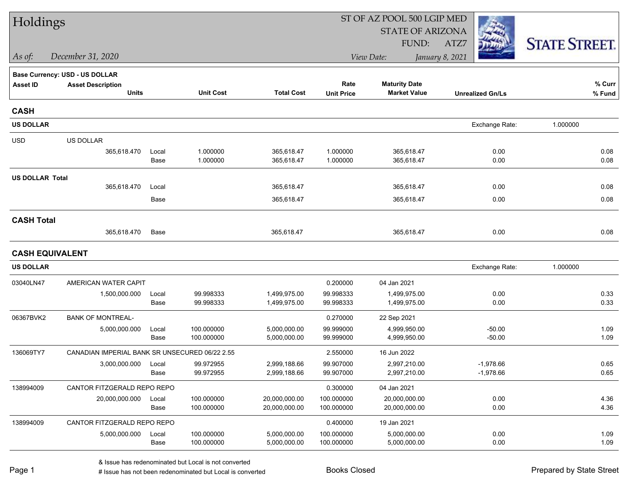| Holdings               |                                                |       |                  |                   |                   | ST OF AZ POOL 500 LGIP MED |                         |                      |  |
|------------------------|------------------------------------------------|-------|------------------|-------------------|-------------------|----------------------------|-------------------------|----------------------|--|
|                        |                                                |       |                  |                   |                   | <b>STATE OF ARIZONA</b>    |                         |                      |  |
|                        |                                                |       |                  |                   |                   | FUND:                      | ATZ7                    | <b>STATE STREET.</b> |  |
| As of:                 | December 31, 2020                              |       |                  |                   |                   | View Date:                 | January 8, 2021         |                      |  |
|                        | Base Currency: USD - US DOLLAR                 |       |                  |                   |                   |                            |                         |                      |  |
| <b>Asset ID</b>        | <b>Asset Description</b>                       |       |                  |                   | Rate              | <b>Maturity Date</b>       |                         | % Curr               |  |
|                        | <b>Units</b>                                   |       | <b>Unit Cost</b> | <b>Total Cost</b> | <b>Unit Price</b> | <b>Market Value</b>        | <b>Unrealized Gn/Ls</b> | % Fund               |  |
| <b>CASH</b>            |                                                |       |                  |                   |                   |                            |                         |                      |  |
| <b>US DOLLAR</b>       |                                                |       |                  |                   |                   |                            | Exchange Rate:          | 1.000000             |  |
| <b>USD</b>             | US DOLLAR                                      |       |                  |                   |                   |                            |                         |                      |  |
|                        | 365,618.470                                    | Local | 1.000000         | 365,618.47        | 1.000000          | 365,618.47                 | 0.00                    | 0.08                 |  |
|                        |                                                | Base  | 1.000000         | 365,618.47        | 1.000000          | 365,618.47                 | 0.00                    | 0.08                 |  |
| <b>US DOLLAR Total</b> |                                                |       |                  |                   |                   |                            |                         |                      |  |
|                        | 365,618.470                                    | Local |                  | 365,618.47        |                   | 365,618.47                 | 0.00                    | 0.08                 |  |
|                        |                                                | Base  |                  | 365,618.47        |                   | 365,618.47                 | 0.00                    | 0.08                 |  |
| <b>CASH Total</b>      |                                                |       |                  |                   |                   |                            |                         |                      |  |
|                        | 365,618.470                                    | Base  |                  | 365,618.47        |                   | 365,618.47                 | 0.00                    | 0.08                 |  |
| <b>CASH EQUIVALENT</b> |                                                |       |                  |                   |                   |                            |                         |                      |  |
| <b>US DOLLAR</b>       |                                                |       |                  |                   |                   |                            | Exchange Rate:          | 1.000000             |  |
| 03040LN47              | AMERICAN WATER CAPIT                           |       |                  |                   | 0.200000          | 04 Jan 2021                |                         |                      |  |
|                        | 1,500,000.000                                  | Local | 99.998333        | 1,499,975.00      | 99.998333         | 1,499,975.00               | 0.00                    | 0.33                 |  |
|                        |                                                | Base  | 99.998333        | 1,499,975.00      | 99.998333         | 1,499,975.00               | 0.00                    | 0.33                 |  |
| 06367BVK2              | <b>BANK OF MONTREAL-</b>                       |       |                  |                   | 0.270000          | 22 Sep 2021                |                         |                      |  |
|                        | 5,000,000.000                                  | Local | 100.000000       | 5,000,000.00      | 99.999000         | 4,999,950.00               | $-50.00$                | 1.09                 |  |
|                        |                                                | Base  | 100.000000       | 5,000,000.00      | 99.999000         | 4,999,950.00               | $-50.00$                | 1.09                 |  |
| 136069TY7              | CANADIAN IMPERIAL BANK SR UNSECURED 06/22 2.55 |       |                  |                   | 2.550000          | 16 Jun 2022                |                         |                      |  |
|                        | 3,000,000.000                                  | Local | 99.972955        | 2,999,188.66      | 99.907000         | 2,997,210.00               | $-1,978.66$             | 0.65                 |  |
|                        |                                                | Base  | 99.972955        | 2,999,188.66      | 99.907000         | 2,997,210.00               | $-1,978.66$             | 0.65                 |  |
| 138994009              | CANTOR FITZGERALD REPO REPO                    |       |                  |                   | 0.300000          | 04 Jan 2021                |                         |                      |  |
|                        | 20,000,000.000                                 | Local | 100.000000       | 20,000,000.00     | 100.000000        | 20,000,000.00              | 0.00                    | 4.36                 |  |
|                        |                                                | Base  | 100.000000       | 20,000,000.00     | 100.000000        | 20,000,000.00              | 0.00                    | 4.36                 |  |
| 138994009              | CANTOR FITZGERALD REPO REPO                    |       |                  |                   | 0.400000          | 19 Jan 2021                |                         |                      |  |
|                        | 5,000,000.000                                  | Local | 100.000000       | 5,000,000.00      | 100.000000        | 5,000,000.00               | 0.00                    | 1.09                 |  |
|                        |                                                | Base  | 100.000000       | 5,000,000.00      | 100.000000        | 5,000,000.00               | 0.00                    | 1.09                 |  |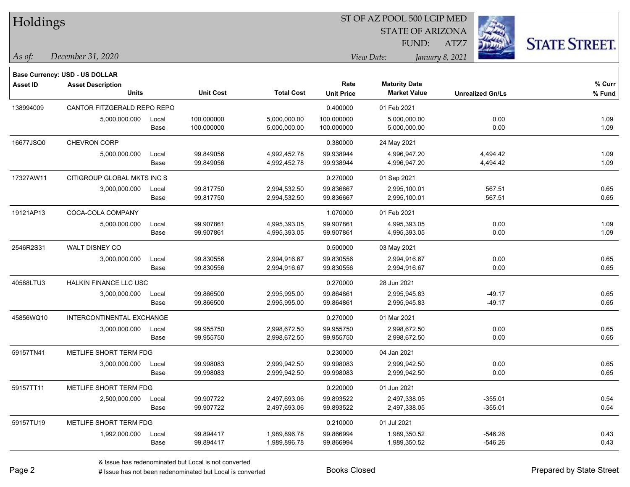|  | Holdings |
|--|----------|
|--|----------|

**Maturity Date**

STATE OF ARIZONA FUND:



**% Fund**

**% Curr**

*December 31, 2020 As of: View Date: January 8, 2021*

**Base Currency: USD - US DOLLAR**

ATZ7

|                     |               |                                                                                                                                                                              |                              | 0.400000                 | 01 Feb 2021                  |              |              |
|---------------------|---------------|------------------------------------------------------------------------------------------------------------------------------------------------------------------------------|------------------------------|--------------------------|------------------------------|--------------|--------------|
| 5,000,000.000       | Local<br>Base | 100.000000<br>100.000000                                                                                                                                                     | 5,000,000.00<br>5,000,000.00 | 100.000000<br>100.000000 | 5,000,000.00<br>5,000,000.00 | 0.00<br>0.00 | 1.09<br>1.09 |
| <b>CHEVRON CORP</b> |               |                                                                                                                                                                              |                              | 0.380000                 | 24 May 2021                  |              |              |
| 5,000,000.000       | Local         | 99.849056                                                                                                                                                                    | 4,992,452.78                 | 99.938944                | 4.996.947.20                 | 4,494.42     | 1.09         |
|                     | Base          | 99.849056                                                                                                                                                                    | 4,992,452.78                 | 99.938944                | 4,996,947.20                 | 4,494.42     | 1.09         |
|                     |               |                                                                                                                                                                              |                              | 0.270000                 | 01 Sep 2021                  |              |              |
| 3,000,000.000       | Local         | 99.817750                                                                                                                                                                    | 2,994,532.50                 | 99.836667                | 2,995,100.01                 | 567.51       | 0.65         |
|                     | Base          | 99.817750                                                                                                                                                                    | 2,994,532.50                 | 99.836667                | 2,995,100.01                 | 567.51       | 0.65         |
| COCA-COLA COMPANY   |               |                                                                                                                                                                              |                              | 1.070000                 | 01 Feb 2021                  |              |              |
| 5,000,000.000       | Local         | 99.907861                                                                                                                                                                    | 4,995,393.05                 | 99.907861                | 4,995,393.05                 | 0.00         | 1.09         |
|                     | Base          | 99.907861                                                                                                                                                                    | 4,995,393.05                 | 99.907861                | 4,995,393.05                 | 0.00         | 1.09         |
| WALT DISNEY CO      |               |                                                                                                                                                                              |                              | 0.500000                 | 03 May 2021                  |              |              |
| 3,000,000.000       | Local         | 99.830556                                                                                                                                                                    | 2,994,916.67                 | 99.830556                | 2,994,916.67                 | 0.00         | 0.65         |
|                     | Base          | 99.830556                                                                                                                                                                    | 2,994,916.67                 | 99.830556                | 2,994,916.67                 | 0.00         | 0.65         |
|                     |               |                                                                                                                                                                              | 0.270000                     | 28 Jun 2021              |                              |              |              |
| 3,000,000.000       | Local         | 99.866500                                                                                                                                                                    | 2,995,995.00                 | 99.864861                | 2,995,945.83                 | $-49.17$     | 0.65         |
|                     | Base          | 99.866500                                                                                                                                                                    | 2,995,995.00                 | 99.864861                | 2,995,945.83                 | $-49.17$     | 0.65         |
|                     |               |                                                                                                                                                                              |                              | 0.270000                 | 01 Mar 2021                  |              |              |
| 3,000,000.000       | Local         | 99.955750                                                                                                                                                                    | 2,998,672.50                 | 99.955750                | 2,998,672.50                 | 0.00         | 0.65         |
|                     | Base          | 99.955750                                                                                                                                                                    | 2,998,672.50                 | 99.955750                | 2,998,672.50                 | 0.00         | 0.65         |
|                     |               |                                                                                                                                                                              |                              | 0.230000                 | 04 Jan 2021                  |              |              |
| 3,000,000.000       | Local         | 99.998083                                                                                                                                                                    | 2,999,942.50                 | 99.998083                | 2,999,942.50                 | 0.00         | 0.65         |
|                     | Base          | 99.998083                                                                                                                                                                    | 2,999,942.50                 | 99.998083                | 2,999,942.50                 | 0.00         | 0.65         |
|                     |               |                                                                                                                                                                              |                              | 0.220000                 | 01 Jun 2021                  |              |              |
| 2,500,000.000       | Local         | 99.907722                                                                                                                                                                    | 2,497,693.06                 | 99.893522                | 2,497,338.05                 | $-355.01$    | 0.54         |
|                     | Base          | 99.907722                                                                                                                                                                    | 2,497,693.06                 | 99.893522                | 2,497,338.05                 | $-355.01$    | 0.54         |
|                     |               | CANTOR FITZGERALD REPO REPO<br>CITIGROUP GLOBAL MKTS INC S<br><b>HALKIN FINANCE LLC USC</b><br>INTERCONTINENTAL EXCHANGE<br>METLIFE SHORT TERM FDG<br>METLIFE SHORT TERM FDG |                              |                          |                              |              |              |

**Units Unit Cost Total Cost Unit Price Market Value Unrealized Gn/Ls**

59157TU19 METLIFE SHORT TERM FDG 0.210000 01 Jul 2021

**Asset ID Asset Description Rate**

1,992,000.000 Local 99.894417 1,989,896.78 99.866994 1,989,350.52 -546.26 0.43

Base 99.894417 1,989,896.78 99.866994 1,989,350.52 -546.26 0.43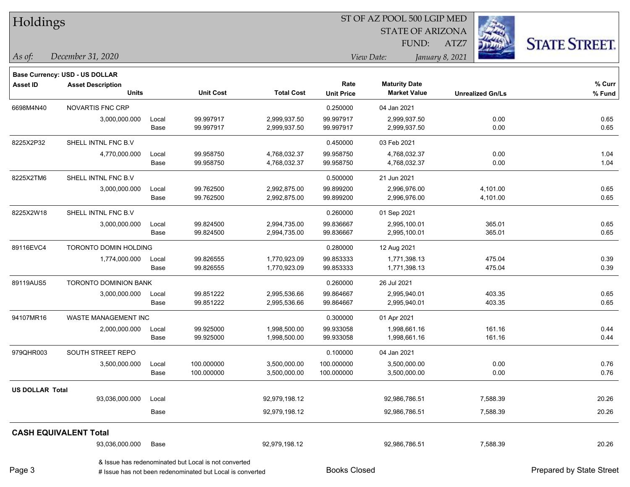| Holdings               |                                |       |                                                      |                   |                   | ST OF AZ POOL 500 LGIP MED |                 |                         |                      |
|------------------------|--------------------------------|-------|------------------------------------------------------|-------------------|-------------------|----------------------------|-----------------|-------------------------|----------------------|
|                        |                                |       |                                                      |                   |                   | <b>STATE OF ARIZONA</b>    |                 |                         |                      |
|                        |                                |       |                                                      |                   |                   | FUND:                      | ATZ7            |                         | <b>STATE STREET.</b> |
| $\vert$ As of:         | December 31, 2020              |       |                                                      |                   |                   | View Date:                 | January 8, 2021 |                         |                      |
|                        | Base Currency: USD - US DOLLAR |       |                                                      |                   |                   |                            |                 |                         |                      |
| <b>Asset ID</b>        | <b>Asset Description</b>       |       |                                                      |                   | Rate              | <b>Maturity Date</b>       |                 |                         | % Curr               |
|                        | <b>Units</b>                   |       | <b>Unit Cost</b>                                     | <b>Total Cost</b> | <b>Unit Price</b> | <b>Market Value</b>        |                 | <b>Unrealized Gn/Ls</b> | % Fund               |
| 6698M4N40              | NOVARTIS FNC CRP               |       |                                                      |                   | 0.250000          | 04 Jan 2021                |                 |                         |                      |
|                        | 3,000,000.000                  | Local | 99.997917                                            | 2,999,937.50      | 99.997917         | 2,999,937.50               |                 | 0.00                    | 0.65                 |
|                        |                                | Base  | 99.997917                                            | 2,999,937.50      | 99.997917         | 2,999,937.50               |                 | 0.00                    | 0.65                 |
| 8225X2P32              | SHELL INTNL FNC B.V            |       |                                                      |                   | 0.450000          | 03 Feb 2021                |                 |                         |                      |
|                        | 4,770,000.000                  | Local | 99.958750                                            | 4,768,032.37      | 99.958750         | 4,768,032.37               |                 | 0.00                    | 1.04                 |
|                        |                                | Base  | 99.958750                                            | 4,768,032.37      | 99.958750         | 4,768,032.37               |                 | 0.00                    | 1.04                 |
| 8225X2TM6              | SHELL INTNL FNC B.V            |       |                                                      |                   | 0.500000          | 21 Jun 2021                |                 |                         |                      |
|                        | 3,000,000.000                  | Local | 99.762500                                            | 2,992,875.00      | 99.899200         | 2,996,976.00               |                 | 4,101.00                | 0.65                 |
|                        |                                | Base  | 99.762500                                            | 2,992,875.00      | 99.899200         | 2,996,976.00               |                 | 4,101.00                | 0.65                 |
| 8225X2W18              | SHELL INTNL FNC B.V            |       |                                                      |                   | 0.260000          | 01 Sep 2021                |                 |                         |                      |
|                        | 3,000,000.000                  | Local | 99.824500                                            | 2,994,735.00      | 99.836667         | 2,995,100.01               |                 | 365.01                  | 0.65                 |
|                        |                                | Base  | 99.824500                                            | 2,994,735.00      | 99.836667         | 2,995,100.01               |                 | 365.01                  | 0.65                 |
| 89116EVC4              | TORONTO DOMIN HOLDING          |       |                                                      |                   | 0.280000          | 12 Aug 2021                |                 |                         |                      |
|                        | 1,774,000.000                  | Local | 99.826555                                            | 1,770,923.09      | 99.853333         | 1,771,398.13               |                 | 475.04                  | 0.39                 |
|                        |                                | Base  | 99.826555                                            | 1,770,923.09      | 99.853333         | 1,771,398.13               |                 | 475.04                  | 0.39                 |
| 89119AUS5              | <b>TORONTO DOMINION BANK</b>   |       |                                                      |                   | 0.260000          | 26 Jul 2021                |                 |                         |                      |
|                        | 3,000,000.000                  | Local | 99.851222                                            | 2,995,536.66      | 99.864667         | 2,995,940.01               |                 | 403.35                  | 0.65                 |
|                        |                                | Base  | 99.851222                                            | 2,995,536.66      | 99.864667         | 2,995,940.01               |                 | 403.35                  | 0.65                 |
| 94107MR16              | WASTE MANAGEMENT INC           |       |                                                      |                   | 0.300000          | 01 Apr 2021                |                 |                         |                      |
|                        | 2,000,000.000                  | Local | 99.925000                                            | 1,998,500.00      | 99.933058         | 1,998,661.16               |                 | 161.16                  | 0.44                 |
|                        |                                | Base  | 99.925000                                            | 1,998,500.00      | 99.933058         | 1,998,661.16               |                 | 161.16                  | 0.44                 |
| 979QHR003              | SOUTH STREET REPO              |       |                                                      |                   | 0.100000          | 04 Jan 2021                |                 |                         |                      |
|                        | 3,500,000.000                  | Local | 100.000000                                           | 3,500,000.00      | 100.000000        | 3,500,000.00               |                 | 0.00                    | 0.76                 |
|                        |                                | Base  | 100.000000                                           | 3,500,000.00      | 100.000000        | 3,500,000.00               |                 | 0.00                    | 0.76                 |
| <b>US DOLLAR Total</b> |                                |       |                                                      |                   |                   |                            |                 |                         |                      |
|                        | 93,036,000.000                 | Local |                                                      | 92,979,198.12     |                   | 92,986,786.51              |                 | 7,588.39                | 20.26                |
|                        |                                | Base  |                                                      | 92,979,198.12     |                   | 92,986,786.51              |                 | 7,588.39                | 20.26                |
|                        | <b>CASH EQUIVALENT Total</b>   |       |                                                      |                   |                   |                            |                 |                         |                      |
|                        | 93,036,000.000                 | Base  |                                                      | 92,979,198.12     |                   | 92,986,786.51              |                 | 7,588.39                | 20.26                |
|                        |                                |       | & Issue has redenominated but Local is not converted |                   |                   |                            |                 |                         |                      |

Page 3

# Issue has not been redenominated but Local is converted Books Closed Prepared by State Street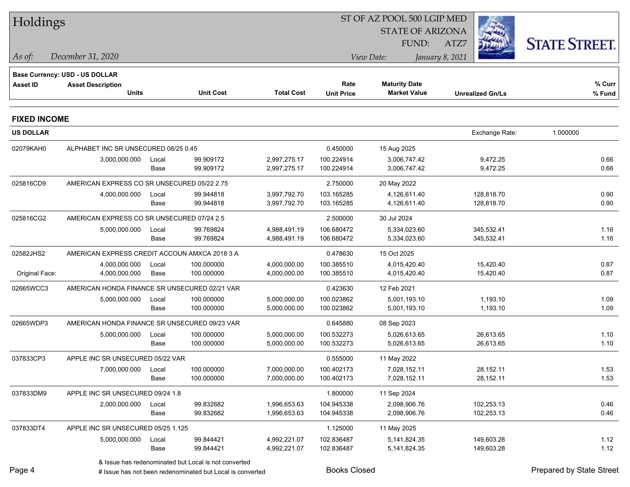| Holdings            |                                                            |       |                                                      |                   | ST OF AZ POOL 500 LGIP MED |                         |                         |                      |  |  |
|---------------------|------------------------------------------------------------|-------|------------------------------------------------------|-------------------|----------------------------|-------------------------|-------------------------|----------------------|--|--|
|                     |                                                            |       |                                                      |                   |                            | <b>STATE OF ARIZONA</b> |                         |                      |  |  |
|                     |                                                            |       |                                                      |                   |                            | <b>FUND:</b>            | ATZ7                    | <b>STATE STREET.</b> |  |  |
| As of:              | December 31, 2020                                          |       |                                                      |                   |                            | View Date:              | January 8, 2021         |                      |  |  |
|                     |                                                            |       |                                                      |                   |                            |                         |                         |                      |  |  |
| <b>Asset ID</b>     | Base Currency: USD - US DOLLAR<br><b>Asset Description</b> |       |                                                      |                   | Rate                       | <b>Maturity Date</b>    |                         | % Curr               |  |  |
|                     | <b>Units</b>                                               |       | <b>Unit Cost</b>                                     | <b>Total Cost</b> | <b>Unit Price</b>          | <b>Market Value</b>     | <b>Unrealized Gn/Ls</b> | % Fund               |  |  |
| <b>FIXED INCOME</b> |                                                            |       |                                                      |                   |                            |                         |                         |                      |  |  |
| <b>US DOLLAR</b>    |                                                            |       |                                                      |                   |                            |                         | Exchange Rate:          | 1.000000             |  |  |
| 02079KAH0           | ALPHABET INC SR UNSECURED 08/25 0.45                       |       |                                                      |                   | 0.450000                   | 15 Aug 2025             |                         |                      |  |  |
|                     | 3,000,000.000                                              | Local | 99.909172                                            | 2,997,275.17      | 100.224914                 | 3,006,747.42            | 9,472.25                | 0.66                 |  |  |
|                     |                                                            | Base  | 99.909172                                            | 2,997,275.17      | 100.224914                 | 3,006,747.42            | 9,472.25                | 0.66                 |  |  |
| 025816CD9           | AMERICAN EXPRESS CO SR UNSECURED 05/22 2.75                |       |                                                      |                   | 2.750000                   | 20 May 2022             |                         |                      |  |  |
|                     | 4,000,000.000                                              | Local | 99.944818                                            | 3,997,792.70      | 103.165285                 | 4,126,611.40            | 128,818.70              | 0.90                 |  |  |
|                     |                                                            | Base  | 99.944818                                            | 3,997,792.70      | 103.165285                 | 4,126,611.40            | 128,818.70              | 0.90                 |  |  |
| 025816CG2           | AMERICAN EXPRESS CO SR UNSECURED 07/24 2.5                 |       |                                                      |                   | 2.500000                   | 30 Jul 2024             |                         |                      |  |  |
|                     | 5,000,000.000                                              | Local | 99.769824                                            | 4,988,491.19      | 106.680472                 | 5,334,023.60            | 345,532.41              | 1.16                 |  |  |
|                     |                                                            | Base  | 99.769824                                            | 4,988,491.19      | 106.680472                 | 5,334,023.60            | 345,532.41              | 1.16                 |  |  |
| 02582JHS2           | AMERICAN EXPRESS CREDIT ACCOUN AMXCA 2018 3 A              |       |                                                      |                   | 0.478630                   | 15 Oct 2025             |                         |                      |  |  |
|                     | 4,000,000.000                                              | Local | 100.000000                                           | 4,000,000.00      | 100.385510                 | 4,015,420.40            | 15,420.40               | 0.87                 |  |  |
| Original Face:      | 4,000,000.000                                              | Base  | 100.000000                                           | 4,000,000.00      | 100.385510                 | 4,015,420.40            | 15,420.40               | 0.87                 |  |  |
| 02665WCC3           | AMERICAN HONDA FINANCE SR UNSECURED 02/21 VAR              |       |                                                      |                   | 0.423630                   | 12 Feb 2021             |                         |                      |  |  |
|                     | 5,000,000.000                                              | Local | 100.000000                                           | 5,000,000.00      | 100.023862                 | 5,001,193.10            | 1,193.10                | 1.09                 |  |  |
|                     |                                                            | Base  | 100.000000                                           | 5,000,000.00      | 100.023862                 | 5,001,193.10            | 1,193.10                | 1.09                 |  |  |
| 02665WDP3           | AMERICAN HONDA FINANCE SR UNSECURED 09/23 VAR              |       |                                                      |                   | 0.645880                   | 08 Sep 2023             |                         |                      |  |  |
|                     | 5,000,000.000                                              | Local | 100.000000                                           | 5,000,000.00      | 100.532273                 | 5,026,613.65            | 26,613.65               | 1.10                 |  |  |
|                     |                                                            | Base  | 100.000000                                           | 5,000,000.00      | 100.532273                 | 5,026,613.65            | 26,613.65               | 1.10                 |  |  |
| 037833CP3           | APPLE INC SR UNSECURED 05/22 VAR                           |       |                                                      |                   | 0.555000                   | 11 May 2022             |                         |                      |  |  |
|                     | 7,000,000.000 Local                                        |       | 100.000000                                           | 7,000,000.00      | 100.402173                 | 7,028,152.11            | 28,152.11               | 1.53                 |  |  |
|                     |                                                            | Base  | 100.000000                                           | 7,000,000.00      | 100.402173                 | 7,028,152.11            | 28,152.11               | 1.53                 |  |  |
| 037833DM9           | APPLE INC SR UNSECURED 09/24 1.8                           |       |                                                      |                   | 1.800000                   | 11 Sep 2024             |                         |                      |  |  |
|                     | 2,000,000.000                                              | Local | 99.832682                                            | 1,996,653.63      | 104.945338                 | 2,098,906.76            | 102,253.13              | 0.46                 |  |  |
|                     |                                                            | Base  | 99.832682                                            | 1,996,653.63      | 104.945338                 | 2,098,906.76            | 102,253.13              | 0.46                 |  |  |
| 037833DT4           | APPLE INC SR UNSECURED 05/25 1.125                         |       |                                                      |                   | 1.125000                   | 11 May 2025             |                         |                      |  |  |
|                     | 5,000,000.000                                              | Local | 99.844421                                            | 4,992,221.07      | 102.836487                 | 5,141,824.35            | 149,603.28              | 1.12                 |  |  |
|                     |                                                            | Base  | 99.844421                                            | 4,992,221.07      | 102.836487                 | 5, 141, 824. 35         | 149,603.28              | 1.12                 |  |  |
|                     |                                                            |       | & Issue has redenominated but Local is not converted |                   |                            |                         |                         |                      |  |  |

Page 4

# Issue has not been redenominated but Local is converted Books Closed Prepared by State Street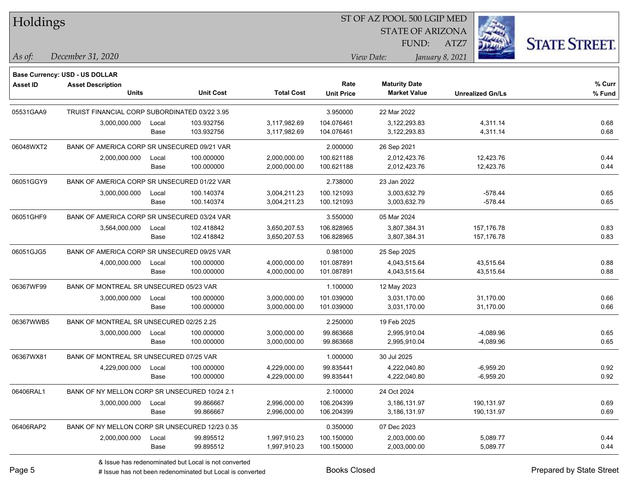Holdings

#### ST OF AZ POOL 500 LGIP MED

**Maturity Date**

STATE OF ARIZONA

ATZ7



**% Curr**

*December 31, 2020 As of: View Date: January 8, 2021*

**Base Currency: USD - US DOLLAR**

FUND:

|           | <b>Units</b>                                   |       | <b>Unit Cost</b> | <b>Total Cost</b> | <b>Unit Price</b> | <b>Market Value</b> | <b>Unrealized Gn/Ls</b> | % Fund |
|-----------|------------------------------------------------|-------|------------------|-------------------|-------------------|---------------------|-------------------------|--------|
| 05531GAA9 | TRUIST FINANCIAL CORP SUBORDINATED 03/22 3.95  |       |                  |                   | 3.950000          | 22 Mar 2022         |                         |        |
|           | 3,000,000.000                                  | Local | 103.932756       | 3,117,982.69      | 104.076461        | 3,122,293.83        | 4,311.14                | 0.68   |
|           |                                                | Base  | 103.932756       | 3,117,982.69      | 104.076461        | 3,122,293.83        | 4,311.14                | 0.68   |
| 06048WXT2 | BANK OF AMERICA CORP SR UNSECURED 09/21 VAR    |       |                  |                   | 2.000000          | 26 Sep 2021         |                         |        |
|           | 2,000,000.000                                  | Local | 100.000000       | 2,000,000.00      | 100.621188        | 2,012,423.76        | 12,423.76               | 0.44   |
|           |                                                | Base  | 100.000000       | 2,000,000.00      | 100.621188        | 2,012,423.76        | 12,423.76               | 0.44   |
| 06051GGY9 | BANK OF AMERICA CORP SR UNSECURED 01/22 VAR    |       |                  |                   | 2.738000          | 23 Jan 2022         |                         |        |
|           | 3,000,000.000                                  | Local | 100.140374       | 3,004,211.23      | 100.121093        | 3,003,632.79        | $-578.44$               | 0.65   |
|           |                                                | Base  | 100.140374       | 3,004,211.23      | 100.121093        | 3,003,632.79        | $-578.44$               | 0.65   |
| 06051GHF9 | BANK OF AMERICA CORP SR UNSECURED 03/24 VAR    |       |                  |                   | 3.550000          | 05 Mar 2024         |                         |        |
|           | 3,564,000.000                                  | Local | 102.418842       | 3,650,207.53      | 106.828965        | 3,807,384.31        | 157,176.78              | 0.83   |
|           |                                                | Base  | 102.418842       | 3,650,207.53      | 106.828965        | 3,807,384.31        | 157,176.78              | 0.83   |
| 06051GJG5 | BANK OF AMERICA CORP SR UNSECURED 09/25 VAR    |       |                  |                   | 0.981000          | 25 Sep 2025         |                         |        |
|           | 4,000,000.000                                  | Local | 100.000000       | 4,000,000.00      | 101.087891        | 4,043,515.64        | 43,515.64               | 0.88   |
|           |                                                | Base  | 100.000000       | 4,000,000.00      | 101.087891        | 4,043,515.64        | 43,515.64               | 0.88   |
| 06367WF99 | BANK OF MONTREAL SR UNSECURED 05/23 VAR        |       |                  | 1.100000          | 12 May 2023       |                     |                         |        |
|           | 3,000,000.000                                  | Local | 100.000000       | 3,000,000.00      | 101.039000        | 3.031.170.00        | 31,170.00               | 0.66   |
|           |                                                | Base  | 100.000000       | 3,000,000.00      | 101.039000        | 3,031,170.00        | 31,170.00               | 0.66   |
| 06367WWB5 | BANK OF MONTREAL SR UNSECURED 02/25 2.25       |       |                  |                   | 2.250000          | 19 Feb 2025         |                         |        |
|           | 3,000,000.000                                  | Local | 100.000000       | 3,000,000.00      | 99.863668         | 2,995,910.04        | $-4,089.96$             | 0.65   |
|           |                                                | Base  | 100.000000       | 3,000,000.00      | 99.863668         | 2,995,910.04        | $-4,089.96$             | 0.65   |
| 06367WX81 | BANK OF MONTREAL SR UNSECURED 07/25 VAR        |       |                  |                   | 1.000000          | 30 Jul 2025         |                         |        |
|           | 4,229,000.000                                  | Local | 100.000000       | 4,229,000.00      | 99.835441         | 4,222,040.80        | $-6,959.20$             | 0.92   |
|           |                                                | Base  | 100.000000       | 4,229,000.00      | 99.835441         | 4,222,040.80        | $-6,959.20$             | 0.92   |
| 06406RAL1 | BANK OF NY MELLON CORP SR UNSECURED 10/24 2.1  |       |                  |                   | 2.100000          | 24 Oct 2024         |                         |        |
|           | 3,000,000.000                                  | Local | 99.866667        | 2,996,000.00      | 106.204399        | 3,186,131.97        | 190,131.97              | 0.69   |
|           |                                                | Base  | 99.866667        | 2,996,000.00      | 106.204399        | 3,186,131.97        | 190,131.97              | 0.69   |
| 06406RAP2 | BANK OF NY MELLON CORP SR UNSECURED 12/23 0.35 |       |                  |                   | 0.350000          | 07 Dec 2023         |                         |        |
|           | 2,000,000.000                                  | Local | 99.895512        | 1,997,910.23      | 100.150000        | 2,003,000.00        | 5,089.77                | 0.44   |

**Asset ID Asset Description Rate**

Base 99.895512 1,997,910.23 100.150000 2,003,000.00 5,089.77 0.44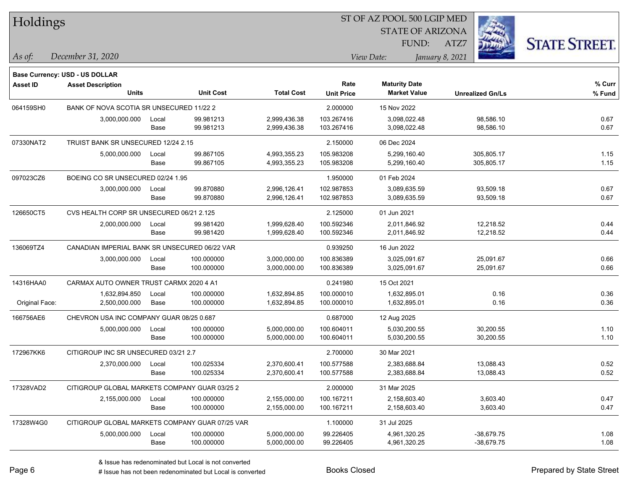| Holdings        |                                                            |       |                  |                   |                   | ST OF AZ POOL 500 LGIP MED |                         |                      |
|-----------------|------------------------------------------------------------|-------|------------------|-------------------|-------------------|----------------------------|-------------------------|----------------------|
|                 |                                                            |       |                  |                   |                   | <b>STATE OF ARIZONA</b>    |                         |                      |
| As of:          | December 31, 2020                                          |       |                  |                   |                   | FUND:<br>View Date:        | ATZ7<br>January 8, 2021 | <b>STATE STREET.</b> |
|                 |                                                            |       |                  |                   |                   |                            |                         |                      |
| <b>Asset ID</b> | Base Currency: USD - US DOLLAR<br><b>Asset Description</b> |       |                  |                   | Rate              | <b>Maturity Date</b>       |                         | % Curr               |
|                 | Units                                                      |       | <b>Unit Cost</b> | <b>Total Cost</b> | <b>Unit Price</b> | <b>Market Value</b>        | <b>Unrealized Gn/Ls</b> | % Fund               |
| 064159SH0       | BANK OF NOVA SCOTIA SR UNSECURED 11/22 2                   |       |                  |                   | 2.000000          | 15 Nov 2022                |                         |                      |
|                 | 3,000,000.000                                              | Local | 99.981213        | 2,999,436.38      | 103.267416        | 3,098,022.48               | 98,586.10               | 0.67                 |
|                 |                                                            | Base  | 99.981213        | 2,999,436.38      | 103.267416        | 3,098,022.48               | 98,586.10               | 0.67                 |
| 07330NAT2       | TRUIST BANK SR UNSECURED 12/24 2.15                        |       |                  |                   | 2.150000          | 06 Dec 2024                |                         |                      |
|                 | 5,000,000.000                                              | Local | 99.867105        | 4,993,355.23      | 105.983208        | 5,299,160.40               | 305,805.17              | 1.15                 |
|                 |                                                            | Base  | 99.867105        | 4,993,355.23      | 105.983208        | 5,299,160.40               | 305,805.17              | 1.15                 |
| 097023CZ6       | BOEING CO SR UNSECURED 02/24 1.95                          |       |                  |                   | 1.950000          | 01 Feb 2024                |                         |                      |
|                 | 3,000,000.000                                              | Local | 99.870880        | 2,996,126.41      | 102.987853        | 3,089,635.59               | 93,509.18               | 0.67                 |
|                 |                                                            | Base  | 99.870880        | 2,996,126.41      | 102.987853        | 3,089,635.59               | 93,509.18               | 0.67                 |
| 126650CT5       | CVS HEALTH CORP SR UNSECURED 06/21 2.125                   |       |                  |                   | 2.125000          | 01 Jun 2021                |                         |                      |
|                 | 2,000,000.000                                              | Local | 99.981420        | 1,999,628.40      | 100.592346        | 2,011,846.92               | 12,218.52               | 0.44                 |
|                 |                                                            | Base  | 99.981420        | 1,999,628.40      | 100.592346        | 2,011,846.92               | 12,218.52               | 0.44                 |
| 136069TZ4       | CANADIAN IMPERIAL BANK SR UNSECURED 06/22 VAR              |       |                  |                   | 0.939250          | 16 Jun 2022                |                         |                      |
|                 | 3,000,000.000                                              | Local | 100.000000       | 3,000,000.00      | 100.836389        | 3,025,091.67               | 25,091.67               | 0.66                 |
|                 |                                                            | Base  | 100.000000       | 3,000,000.00      | 100.836389        | 3,025,091.67               | 25,091.67               | 0.66                 |
| 14316HAA0       | CARMAX AUTO OWNER TRUST CARMX 2020 4 A1                    |       |                  |                   | 0.241980          | 15 Oct 2021                |                         |                      |
|                 | 1,632,894.850                                              | Local | 100.000000       | 1,632,894.85      | 100.000010        | 1,632,895.01               | 0.16                    | 0.36                 |
| Original Face:  | 2,500,000.000                                              | Base  | 100.000000       | 1,632,894.85      | 100.000010        | 1,632,895.01               | 0.16                    | 0.36                 |
| 166756AE6       | CHEVRON USA INC COMPANY GUAR 08/25 0.687                   |       |                  |                   | 0.687000          | 12 Aug 2025                |                         |                      |
|                 | 5,000,000.000                                              | Local | 100.000000       | 5,000,000.00      | 100.604011        | 5,030,200.55               | 30,200.55               | 1.10                 |
|                 |                                                            | Base  | 100.000000       | 5,000,000.00      | 100.604011        | 5,030,200.55               | 30,200.55               | 1.10                 |
| 172967KK6       | CITIGROUP INC SR UNSECURED 03/21 2.7                       |       |                  |                   | 2.700000          | 30 Mar 2021                |                         |                      |
|                 | 2,370,000.000                                              | Local | 100.025334       | 2,370,600.41      | 100.577588        | 2.383.688.84               | 13,088.43               | 0.52                 |
|                 |                                                            | Base  | 100.025334       | 2,370,600.41      | 100.577588        | 2,383,688.84               | 13,088.43               | 0.52                 |
| 17328VAD2       | CITIGROUP GLOBAL MARKETS COMPANY GUAR 03/25 2              |       |                  |                   | 2.000000          | 31 Mar 2025                |                         |                      |
|                 | 2,155,000.000                                              | Local | 100.000000       | 2,155,000.00      | 100.167211        | 2,158,603.40               | 3,603.40                | 0.47                 |
|                 |                                                            | Base  | 100.000000       | 2,155,000.00      | 100.167211        | 2,158,603.40               | 3,603.40                | 0.47                 |
| 17328W4G0       | CITIGROUP GLOBAL MARKETS COMPANY GUAR 07/25 VAR            |       |                  |                   | 1.100000          | 31 Jul 2025                |                         |                      |
|                 | 5,000,000.000                                              | Local | 100.000000       | 5,000,000.00      | 99.226405         | 4,961,320.25               | $-38,679.75$            | 1.08                 |
|                 |                                                            | Base  | 100.000000       | 5,000,000.00      | 99.226405         | 4,961,320.25               | $-38,679.75$            | 1.08                 |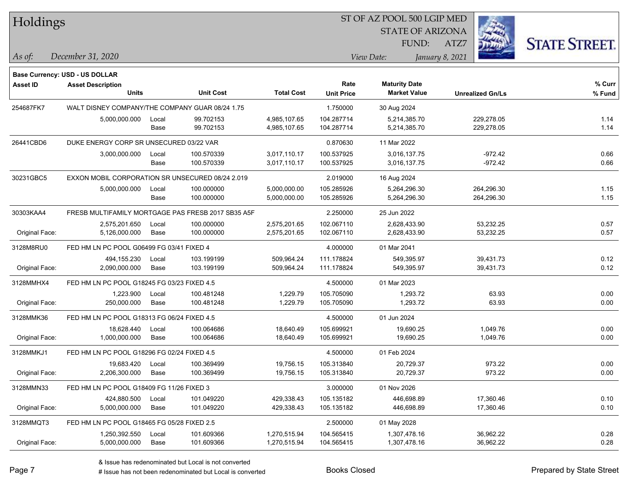| Holdings        |                                                  |       |                                                    |                   |                   | ST OF AZ POOL 500 LGIP MED |                         |                      |
|-----------------|--------------------------------------------------|-------|----------------------------------------------------|-------------------|-------------------|----------------------------|-------------------------|----------------------|
|                 |                                                  |       |                                                    |                   |                   | <b>STATE OF ARIZONA</b>    |                         |                      |
|                 |                                                  |       |                                                    |                   |                   | FUND:                      | ATZ7                    | <b>STATE STREET.</b> |
| As of:          | December 31, 2020                                |       |                                                    |                   |                   | View Date:                 | January 8, 2021         |                      |
|                 | Base Currency: USD - US DOLLAR                   |       |                                                    |                   |                   |                            |                         |                      |
| <b>Asset ID</b> | <b>Asset Description</b>                         |       |                                                    |                   | Rate              | <b>Maturity Date</b>       |                         | % Curr               |
|                 | <b>Units</b>                                     |       | <b>Unit Cost</b>                                   | <b>Total Cost</b> | <b>Unit Price</b> | <b>Market Value</b>        | <b>Unrealized Gn/Ls</b> | % Fund               |
| 254687FK7       | WALT DISNEY COMPANY/THE COMPANY GUAR 08/24 1.75  |       |                                                    |                   | 1.750000          | 30 Aug 2024                |                         |                      |
|                 | 5,000,000.000                                    | Local | 99.702153                                          | 4,985,107.65      | 104.287714        | 5,214,385.70               | 229,278.05              | 1.14                 |
|                 |                                                  | Base  | 99.702153                                          | 4,985,107.65      | 104.287714        | 5,214,385.70               | 229,278.05              | 1.14                 |
| 26441CBD6       | DUKE ENERGY CORP SR UNSECURED 03/22 VAR          |       |                                                    |                   | 0.870630          | 11 Mar 2022                |                         |                      |
|                 | 3,000,000.000                                    | Local | 100.570339                                         | 3,017,110.17      | 100.537925        | 3,016,137.75               | $-972.42$               | 0.66                 |
|                 |                                                  | Base  | 100.570339                                         | 3,017,110.17      | 100.537925        | 3,016,137.75               | $-972.42$               | 0.66                 |
| 30231GBC5       | EXXON MOBIL CORPORATION SR UNSECURED 08/24 2.019 |       |                                                    |                   | 2.019000          | 16 Aug 2024                |                         |                      |
|                 | 5,000,000.000                                    | Local | 100.000000                                         | 5,000,000.00      | 105.285926        | 5,264,296.30               | 264,296.30              | 1.15                 |
|                 |                                                  | Base  | 100.000000                                         | 5,000,000.00      | 105.285926        | 5,264,296.30               | 264,296.30              | 1.15                 |
| 30303KAA4       |                                                  |       | FRESB MULTIFAMILY MORTGAGE PAS FRESB 2017 SB35 A5F |                   | 2.250000          | 25 Jun 2022                |                         |                      |
|                 | 2,575,201.650                                    | Local | 100.000000                                         | 2,575,201.65      | 102.067110        | 2,628,433.90               | 53,232.25               | 0.57                 |
| Original Face:  | 5,126,000.000                                    | Base  | 100.000000                                         | 2,575,201.65      | 102.067110        | 2,628,433.90               | 53,232.25               | 0.57                 |
| 3128M8RU0       | FED HM LN PC POOL G06499 FG 03/41 FIXED 4        |       |                                                    |                   | 4.000000          | 01 Mar 2041                |                         |                      |
|                 | 494,155.230                                      | Local | 103.199199                                         | 509,964.24        | 111.178824        | 549,395.97                 | 39,431.73               | 0.12                 |
| Original Face:  | 2,090,000.000                                    | Base  | 103.199199                                         | 509,964.24        | 111.178824        | 549,395.97                 | 39,431.73               | 0.12                 |
| 3128MMHX4       | FED HM LN PC POOL G18245 FG 03/23 FIXED 4.5      |       |                                                    |                   | 4.500000          | 01 Mar 2023                |                         |                      |
|                 | 1,223.900                                        | Local | 100.481248                                         | 1,229.79          | 105.705090        | 1,293.72                   | 63.93                   | 0.00                 |
| Original Face:  | 250,000.000                                      | Base  | 100.481248                                         | 1,229.79          | 105.705090        | 1,293.72                   | 63.93                   | 0.00                 |
| 3128MMK36       | FED HM LN PC POOL G18313 FG 06/24 FIXED 4.5      |       |                                                    |                   | 4.500000          | 01 Jun 2024                |                         |                      |
|                 | 18.628.440                                       | Local | 100.064686                                         | 18,640.49         | 105.699921        | 19,690.25                  | 1,049.76                | 0.00                 |
| Original Face:  | 1,000,000.000                                    | Base  | 100.064686                                         | 18,640.49         | 105.699921        | 19,690.25                  | 1,049.76                | 0.00                 |
| 3128MMKJ1       | FED HM LN PC POOL G18296 FG 02/24 FIXED 4.5      |       |                                                    |                   | 4.500000          | 01 Feb 2024                |                         |                      |
|                 | 19,683.420                                       | Local | 100.369499                                         | 19,756.15         | 105.313840        | 20,729.37                  | 973.22                  | 0.00                 |
| Original Face:  | 2,206,300.000                                    | Base  | 100.369499                                         | 19,756.15         | 105.313840        | 20,729.37                  | 973.22                  | 0.00                 |
| 3128MMN33       | FED HM LN PC POOL G18409 FG 11/26 FIXED 3        |       |                                                    |                   | 3.000000          | 01 Nov 2026                |                         |                      |
|                 | 424,880.500                                      | Local | 101.049220                                         | 429,338.43        | 105.135182        | 446,698.89                 | 17,360.46               | 0.10                 |
| Original Face:  | 5,000,000.000                                    | Base  | 101.049220                                         | 429,338.43        | 105.135182        | 446,698.89                 | 17,360.46               | 0.10                 |
| 3128MMQT3       | FED HM LN PC POOL G18465 FG 05/28 FIXED 2.5      |       |                                                    |                   | 2.500000          | 01 May 2028                |                         |                      |
|                 | 1,250,392.550                                    | Local | 101.609366                                         | 1,270,515.94      | 104.565415        | 1,307,478.16               | 36,962.22               | 0.28                 |
| Original Face:  | 5,000,000.000                                    | Base  | 101.609366                                         | 1,270,515.94      | 104.565415        | 1,307,478.16               | 36,962.22               | 0.28                 |

 $\overline{\phantom{0}}$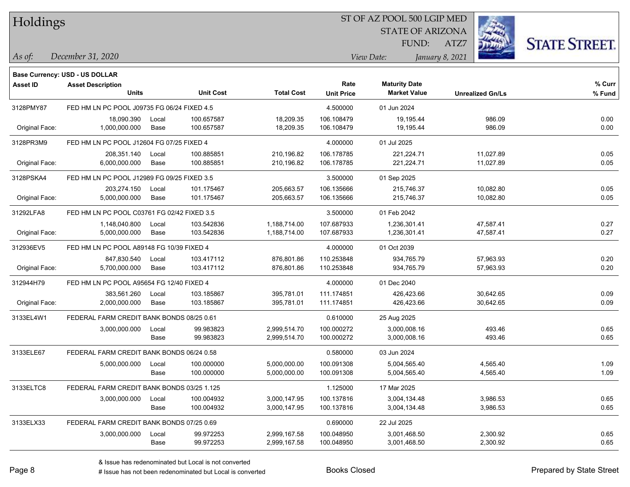Holdings

#### ST OF AZ POOL 500 LGIP MED

**Maturity Date**

STATE OF ARIZONA FUND:



**% Curr**

*December 31, 2020 As of: View Date: January 8, 2021*

**Base Currency: USD - US DOLLAR**

ATZ7

|                | <b>Units</b>                                |       | <b>Unit Cost</b> | <b>Total Cost</b> | <b>Unit Price</b> | <b>Market Value</b> | <b>Unrealized Gn/Ls</b> | % Fund |
|----------------|---------------------------------------------|-------|------------------|-------------------|-------------------|---------------------|-------------------------|--------|
| 3128PMY87      | FED HM LN PC POOL J09735 FG 06/24 FIXED 4.5 |       |                  |                   | 4.500000          | 01 Jun 2024         |                         |        |
|                | 18,090.390                                  | Local | 100.657587       | 18,209.35         | 106.108479        | 19,195.44           | 986.09                  | 0.00   |
| Original Face: | 1,000,000.000                               | Base  | 100.657587       | 18,209.35         | 106.108479        | 19,195.44           | 986.09                  | 0.00   |
| 3128PR3M9      | FED HM LN PC POOL J12604 FG 07/25 FIXED 4   |       |                  |                   | 4.000000          | 01 Jul 2025         |                         |        |
|                | 208,351.140                                 | Local | 100.885851       | 210,196.82        | 106.178785        | 221,224.71          | 11,027.89               | 0.05   |
| Original Face: | 6,000,000.000                               | Base  | 100.885851       | 210,196.82        | 106.178785        | 221,224.71          | 11,027.89               | 0.05   |
| 3128PSKA4      | FED HM LN PC POOL J12989 FG 09/25 FIXED 3.5 |       |                  |                   | 3.500000          | 01 Sep 2025         |                         |        |
|                | 203,274.150                                 | Local | 101.175467       | 205,663.57        | 106.135666        | 215,746.37          | 10,082.80               | 0.05   |
| Original Face: | 5,000,000.000                               | Base  | 101.175467       | 205,663.57        | 106.135666        | 215,746.37          | 10,082.80               | 0.05   |
| 31292LFA8      | FED HM LN PC POOL C03761 FG 02/42 FIXED 3.5 |       |                  |                   | 3.500000          | 01 Feb 2042         |                         |        |
|                | 1,148,040.800                               | Local | 103.542836       | 1,188,714.00      | 107.687933        | 1,236,301.41        | 47,587.41               | 0.27   |
| Original Face: | 5,000,000.000                               | Base  | 103.542836       | 1,188,714.00      | 107.687933        | 1,236,301.41        | 47,587.41               | 0.27   |
| 312936EV5      | FED HM LN PC POOL A89148 FG 10/39 FIXED 4   |       |                  |                   | 4.000000          | 01 Oct 2039         |                         |        |
|                | 847,830.540                                 | Local | 103.417112       | 876,801.86        | 110.253848        | 934,765.79          | 57,963.93               | 0.20   |
| Original Face: | 5,700,000.000                               | Base  | 103.417112       | 876,801.86        | 110.253848        | 934,765.79          | 57,963.93               | 0.20   |
| 312944H79      | FED HM LN PC POOL A95654 FG 12/40 FIXED 4   |       |                  |                   | 4.000000          | 01 Dec 2040         |                         |        |
|                | 383,561.260                                 | Local | 103.185867       | 395,781.01        | 111.174851        | 426,423.66          | 30,642.65               | 0.09   |
| Original Face: | 2,000,000.000                               | Base  | 103.185867       | 395,781.01        | 111.174851        | 426,423.66          | 30,642.65               | 0.09   |
| 3133EL4W1      | FEDERAL FARM CREDIT BANK BONDS 08/25 0.61   |       |                  |                   | 0.610000          | 25 Aug 2025         |                         |        |
|                | 3,000,000.000                               | Local | 99.983823        | 2,999,514.70      | 100.000272        | 3,000,008.16        | 493.46                  | 0.65   |
|                |                                             | Base  | 99.983823        | 2,999,514.70      | 100.000272        | 3,000,008.16        | 493.46                  | 0.65   |
| 3133ELE67      | FEDERAL FARM CREDIT BANK BONDS 06/24 0.58   |       |                  |                   | 0.580000          | 03 Jun 2024         |                         |        |
|                | 5,000,000.000                               | Local | 100.000000       | 5,000,000.00      | 100.091308        | 5,004,565.40        | 4,565.40                | 1.09   |
|                |                                             | Base  | 100.000000       | 5,000,000.00      | 100.091308        | 5,004,565.40        | 4,565.40                | 1.09   |
| 3133ELTC8      | FEDERAL FARM CREDIT BANK BONDS 03/25 1.125  |       |                  |                   | 1.125000          | 17 Mar 2025         |                         |        |
|                | 3,000,000.000                               | Local | 100.004932       | 3,000,147.95      | 100.137816        | 3,004,134.48        | 3,986.53                | 0.65   |
|                |                                             | Base  | 100.004932       | 3,000,147.95      | 100.137816        | 3,004,134.48        | 3,986.53                | 0.65   |
| 3133ELX33      | FEDERAL FARM CREDIT BANK BONDS 07/25 0.69   |       |                  |                   | 0.690000          | 22 Jul 2025         |                         |        |
|                | 3,000,000.000                               | Local | 99.972253        | 2,999,167.58      | 100.048950        | 3,001,468.50        | 2,300.92                | 0.65   |
|                |                                             | Base  | 99.972253        | 2,999,167.58      | 100.048950        | 3,001,468.50        | 2,300.92                | 0.65   |

**Asset ID Asset Description Rate**

# Issue has not been redenominated but Local is converted Books Closed Prepared by State Street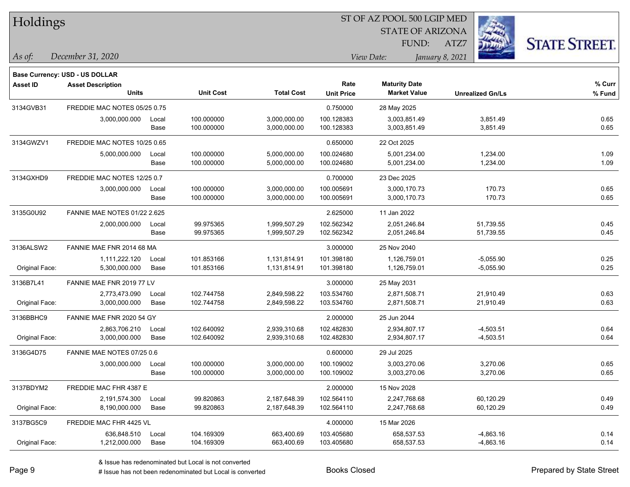| Holdings        |                                       |       |                  |                   | ST OF AZ POOL 500 LGIP MED |                         |                         |                      |  |  |
|-----------------|---------------------------------------|-------|------------------|-------------------|----------------------------|-------------------------|-------------------------|----------------------|--|--|
|                 |                                       |       |                  |                   |                            | <b>STATE OF ARIZONA</b> |                         |                      |  |  |
|                 |                                       |       |                  |                   |                            | FUND:                   | ATZ7                    | <b>STATE STREET.</b> |  |  |
| As of:          | December 31, 2020                     |       |                  |                   |                            | View Date:              | January 8, 2021         |                      |  |  |
|                 | <b>Base Currency: USD - US DOLLAR</b> |       |                  |                   |                            |                         |                         |                      |  |  |
| <b>Asset ID</b> | <b>Asset Description</b>              |       |                  |                   | Rate                       | <b>Maturity Date</b>    |                         | % Curr               |  |  |
|                 | Units                                 |       | <b>Unit Cost</b> | <b>Total Cost</b> | <b>Unit Price</b>          | <b>Market Value</b>     | <b>Unrealized Gn/Ls</b> | % Fund               |  |  |
| 3134GVB31       | FREDDIE MAC NOTES 05/25 0.75          |       |                  |                   | 0.750000                   | 28 May 2025             |                         |                      |  |  |
|                 | 3,000,000.000                         | Local | 100.000000       | 3,000,000.00      | 100.128383                 | 3,003,851.49            | 3,851.49                | 0.65                 |  |  |
|                 |                                       | Base  | 100.000000       | 3,000,000.00      | 100.128383                 | 3,003,851.49            | 3,851.49                | 0.65                 |  |  |
| 3134GWZV1       | FREDDIE MAC NOTES 10/25 0.65          |       |                  |                   | 0.650000                   | 22 Oct 2025             |                         |                      |  |  |
|                 | 5,000,000.000                         | Local | 100.000000       | 5,000,000.00      | 100.024680                 | 5,001,234.00            | 1,234.00                | 1.09                 |  |  |
|                 |                                       | Base  | 100.000000       | 5,000,000.00      | 100.024680                 | 5,001,234.00            | 1,234.00                | 1.09                 |  |  |
| 3134GXHD9       | FREDDIE MAC NOTES 12/25 0.7           |       |                  |                   | 0.700000                   | 23 Dec 2025             |                         |                      |  |  |
|                 | 3,000,000.000                         | Local | 100.000000       | 3,000,000.00      | 100.005691                 | 3,000,170.73            | 170.73                  | 0.65                 |  |  |
|                 |                                       | Base  | 100.000000       | 3,000,000.00      | 100.005691                 | 3,000,170.73            | 170.73                  | 0.65                 |  |  |
| 3135G0U92       | <b>FANNIE MAE NOTES 01/22 2.625</b>   |       |                  |                   | 2.625000                   | 11 Jan 2022             |                         |                      |  |  |
|                 | 2,000,000.000                         | Local | 99.975365        | 1,999,507.29      | 102.562342                 | 2,051,246.84            | 51,739.55               | 0.45                 |  |  |
|                 |                                       | Base  | 99.975365        | 1,999,507.29      | 102.562342                 | 2,051,246.84            | 51,739.55               | 0.45                 |  |  |
| 3136ALSW2       | FANNIE MAE FNR 2014 68 MA             |       |                  |                   | 3.000000                   | 25 Nov 2040             |                         |                      |  |  |
|                 | 1,111,222.120                         | Local | 101.853166       | 1,131,814.91      | 101.398180                 | 1,126,759.01            | $-5,055.90$             | 0.25                 |  |  |
| Original Face:  | 5,300,000.000                         | Base  | 101.853166       | 1,131,814.91      | 101.398180                 | 1,126,759.01            | $-5,055.90$             | 0.25                 |  |  |
| 3136B7L41       | FANNIE MAE FNR 2019 77 LV             |       |                  |                   | 3.000000                   | 25 May 2031             |                         |                      |  |  |
|                 | 2,773,473.090                         | Local | 102.744758       | 2,849,598.22      | 103.534760                 | 2,871,508.71            | 21,910.49               | 0.63                 |  |  |
| Original Face:  | 3,000,000.000                         | Base  | 102.744758       | 2,849,598.22      | 103.534760                 | 2,871,508.71            | 21,910.49               | 0.63                 |  |  |
| 3136BBHC9       | FANNIE MAE FNR 2020 54 GY             |       |                  |                   | 2.000000                   | 25 Jun 2044             |                         |                      |  |  |
|                 | 2,863,706.210                         | Local | 102.640092       | 2,939,310.68      | 102.482830                 | 2,934,807.17            | $-4,503.51$             | 0.64                 |  |  |
| Original Face:  | 3,000,000.000                         | Base  | 102.640092       | 2,939,310.68      | 102.482830                 | 2,934,807.17            | $-4,503.51$             | 0.64                 |  |  |
| 3136G4D75       | FANNIE MAE NOTES 07/25 0.6            |       |                  |                   | 0.600000                   | 29 Jul 2025             |                         |                      |  |  |
|                 | 3,000,000.000                         | Local | 100.000000       | 3,000,000.00      | 100.109002                 | 3,003,270.06            | 3,270.06                | 0.65                 |  |  |
|                 |                                       | Base  | 100.000000       | 3,000,000.00      | 100.109002                 | 3,003,270.06            | 3,270.06                | 0.65                 |  |  |
| 3137BDYM2       | FREDDIE MAC FHR 4387 E                |       |                  |                   | 2.000000                   | 15 Nov 2028             |                         |                      |  |  |
|                 | 2,191,574.300                         | Local | 99.820863        | 2,187,648.39      | 102.564110                 | 2,247,768.68            | 60,120.29               | 0.49                 |  |  |
| Original Face:  | 8,190,000.000                         | Base  | 99.820863        | 2,187,648.39      | 102.564110                 | 2,247,768.68            | 60,120.29               | 0.49                 |  |  |
| 3137BG5C9       | FREDDIE MAC FHR 4425 VL               |       |                  |                   | 4.000000                   | 15 Mar 2026             |                         |                      |  |  |
|                 | 636,848.510                           | Local | 104.169309       | 663,400.69        | 103.405680                 | 658,537.53              | $-4,863.16$             | 0.14                 |  |  |
| Original Face:  | 1,212,000.000                         | Base  | 104.169309       | 663,400.69        | 103.405680                 | 658,537.53              | $-4,863.16$             | 0.14                 |  |  |

denote the redenominated but Local is converted Books Closed Prepared by State Street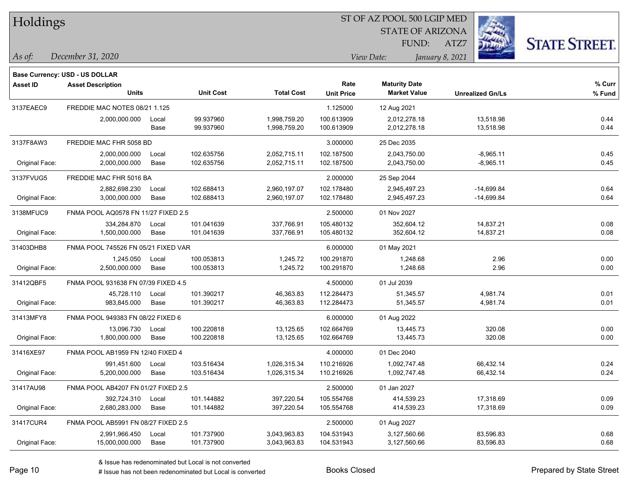|  |  | Holdings |
|--|--|----------|
|--|--|----------|

STATE OF ARIZONA FUND:



*December 31, 2020 As of: View Date: January 8, 2021*

**Base Currency: USD - US DOLLAR**

ATZ7

| <b>Asset ID</b> | <b>Asset Description</b>            |       |                  |                   | Rate              | <b>Maturity Date</b> |                         | % Curr |
|-----------------|-------------------------------------|-------|------------------|-------------------|-------------------|----------------------|-------------------------|--------|
|                 | <b>Units</b>                        |       | <b>Unit Cost</b> | <b>Total Cost</b> | <b>Unit Price</b> | <b>Market Value</b>  | <b>Unrealized Gn/Ls</b> | % Fund |
| 3137EAEC9       | FREDDIE MAC NOTES 08/21 1.125       |       |                  |                   | 1.125000          | 12 Aug 2021          |                         |        |
|                 | 2,000,000.000                       | Local | 99.937960        | 1,998,759.20      | 100.613909        | 2,012,278.18         | 13,518.98               | 0.44   |
|                 |                                     | Base  | 99.937960        | 1,998,759.20      | 100.613909        | 2,012,278.18         | 13,518.98               | 0.44   |
| 3137F8AW3       | FREDDIE MAC FHR 5058 BD             |       |                  |                   | 3.000000          | 25 Dec 2035          |                         |        |
|                 | 2,000,000.000                       | Local | 102.635756       | 2,052,715.11      | 102.187500        | 2,043,750.00         | $-8,965.11$             | 0.45   |
| Original Face:  | 2,000,000.000                       | Base  | 102.635756       | 2,052,715.11      | 102.187500        | 2,043,750.00         | $-8,965.11$             | 0.45   |
| 3137FVUG5       | FREDDIE MAC FHR 5016 BA             |       |                  |                   | 2.000000          | 25 Sep 2044          |                         |        |
|                 | 2,882,698.230                       | Local | 102.688413       | 2,960,197.07      | 102.178480        | 2,945,497.23         | $-14,699.84$            | 0.64   |
| Original Face:  | 3,000,000.000                       | Base  | 102.688413       | 2,960,197.07      | 102.178480        | 2,945,497.23         | $-14,699.84$            | 0.64   |
| 3138MFUC9       | FNMA POOL AQ0578 FN 11/27 FIXED 2.5 |       |                  |                   | 2.500000          | 01 Nov 2027          |                         |        |
|                 | 334,284.870                         | Local | 101.041639       | 337,766.91        | 105.480132        | 352,604.12           | 14,837.21               | 0.08   |
| Original Face:  | 1,500,000.000                       | Base  | 101.041639       | 337,766.91        | 105.480132        | 352,604.12           | 14,837.21               | 0.08   |
| 31403DHB8       | FNMA POOL 745526 FN 05/21 FIXED VAR |       |                  |                   | 6.000000          | 01 May 2021          |                         |        |
|                 | 1,245.050                           | Local | 100.053813       | 1,245.72          | 100.291870        | 1,248.68             | 2.96                    | 0.00   |
| Original Face:  | 2,500,000.000                       | Base  | 100.053813       | 1,245.72          | 100.291870        | 1,248.68             | 2.96                    | 0.00   |
| 31412QBF5       | FNMA POOL 931638 FN 07/39 FIXED 4.5 |       |                  |                   | 4.500000          | 01 Jul 2039          |                         |        |
|                 | 45,728.110                          | Local | 101.390217       | 46,363.83         | 112.284473        | 51,345.57            | 4,981.74                | 0.01   |
| Original Face:  | 983,845.000                         | Base  | 101.390217       | 46,363.83         | 112.284473        | 51,345.57            | 4,981.74                | 0.01   |
| 31413MFY8       | FNMA POOL 949383 FN 08/22 FIXED 6   |       |                  |                   | 6.000000          | 01 Aug 2022          |                         |        |
|                 | 13,096.730                          | Local | 100.220818       | 13,125.65         | 102.664769        | 13,445.73            | 320.08                  | 0.00   |
| Original Face:  | 1,800,000.000                       | Base  | 100.220818       | 13,125.65         | 102.664769        | 13,445.73            | 320.08                  | 0.00   |
| 31416XE97       | FNMA POOL AB1959 FN 12/40 FIXED 4   |       |                  |                   | 4.000000          | 01 Dec 2040          |                         |        |
|                 | 991,451.600                         | Local | 103.516434       | 1,026,315.34      | 110.216926        | 1,092,747.48         | 66,432.14               | 0.24   |
| Original Face:  | 5,200,000.000                       | Base  | 103.516434       | 1,026,315.34      | 110.216926        | 1,092,747.48         | 66,432.14               | 0.24   |
| 31417AU98       | FNMA POOL AB4207 FN 01/27 FIXED 2.5 |       |                  |                   | 2.500000          | 01 Jan 2027          |                         |        |
|                 | 392,724.310                         | Local | 101.144882       | 397,220.54        | 105.554768        | 414,539.23           | 17,318.69               | 0.09   |
| Original Face:  | 2,680,283.000                       | Base  | 101.144882       | 397,220.54        | 105.554768        | 414,539.23           | 17,318.69               | 0.09   |
| 31417CUR4       | FNMA POOL AB5991 FN 08/27 FIXED 2.5 |       |                  |                   | 2.500000          | 01 Aug 2027          |                         |        |
|                 | 2,991,966.450                       | Local | 101.737900       | 3,043,963.83      | 104.531943        | 3,127,560.66         | 83,596.83               | 0.68   |
| Original Face:  | 15,000,000.000                      | Base  | 101.737900       | 3.043.963.83      | 104.531943        | 3,127,560.66         | 83,596.83               | 0.68   |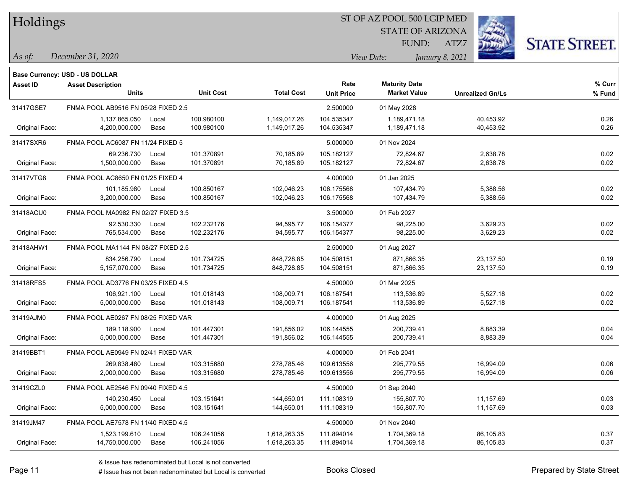|  | Holdings |
|--|----------|
|--|----------|

STATE OF ARIZONA FUND:



*December 31, 2020 As of: View Date: January 8, 2021*

**Base Currency: USD - US DOLLAR**

ATZ7

| Asset ID       | <b>Asset Description</b><br>Units   |       | <b>Unit Cost</b> | <b>Total Cost</b> | Rate              | <b>Maturity Date</b><br><b>Market Value</b> |                         | % Curr |
|----------------|-------------------------------------|-------|------------------|-------------------|-------------------|---------------------------------------------|-------------------------|--------|
|                |                                     |       |                  |                   | <b>Unit Price</b> |                                             | <b>Unrealized Gn/Ls</b> | % Fund |
| 31417GSE7      | FNMA POOL AB9516 FN 05/28 FIXED 2.5 |       |                  |                   | 2.500000          | 01 May 2028                                 |                         |        |
|                | 1,137,865.050                       | Local | 100.980100       | 1,149,017.26      | 104.535347        | 1,189,471.18                                | 40,453.92               | 0.26   |
| Original Face: | 4,200,000.000                       | Base  | 100.980100       | 1,149,017.26      | 104.535347        | 1,189,471.18                                | 40,453.92               | 0.26   |
| 31417SXR6      | FNMA POOL AC6087 FN 11/24 FIXED 5   |       |                  |                   | 5.000000          | 01 Nov 2024                                 |                         |        |
|                | 69.236.730                          | Local | 101.370891       | 70,185.89         | 105.182127        | 72,824.67                                   | 2,638.78                | 0.02   |
| Original Face: | 1,500,000.000                       | Base  | 101.370891       | 70,185.89         | 105.182127        | 72,824.67                                   | 2,638.78                | 0.02   |
| 31417VTG8      | FNMA POOL AC8650 FN 01/25 FIXED 4   |       |                  |                   | 4.000000          | 01 Jan 2025                                 |                         |        |
|                | 101,185.980                         | Local | 100.850167       | 102,046.23        | 106.175568        | 107,434.79                                  | 5,388.56                | 0.02   |
| Original Face: | 3,200,000.000                       | Base  | 100.850167       | 102,046.23        | 106.175568        | 107,434.79                                  | 5,388.56                | 0.02   |
| 31418ACU0      | FNMA POOL MA0982 FN 02/27 FIXED 3.5 |       |                  |                   | 3.500000          | 01 Feb 2027                                 |                         |        |
|                | 92,530.330                          | Local | 102.232176       | 94,595.77         | 106.154377        | 98,225.00                                   | 3,629.23                | 0.02   |
| Original Face: | 765,534.000                         | Base  | 102.232176       | 94,595.77         | 106.154377        | 98,225.00                                   | 3,629.23                | 0.02   |
| 31418AHW1      | FNMA POOL MA1144 FN 08/27 FIXED 2.5 |       |                  |                   | 2.500000          | 01 Aug 2027                                 |                         |        |
|                | 834,256.790                         | Local | 101.734725       | 848,728.85        | 104.508151        | 871,866.35                                  | 23,137.50               | 0.19   |
| Original Face: | 5,157,070.000                       | Base  | 101.734725       | 848,728.85        | 104.508151        | 871,866.35                                  | 23,137.50               | 0.19   |
| 31418RFS5      | FNMA POOL AD3776 FN 03/25 FIXED 4.5 |       |                  |                   | 4.500000          | 01 Mar 2025                                 |                         |        |
|                | 106,921.100                         | Local | 101.018143       | 108,009.71        | 106.187541        | 113,536.89                                  | 5,527.18                | 0.02   |
| Original Face: | 5,000,000.000                       | Base  | 101.018143       | 108,009.71        | 106.187541        | 113,536.89                                  | 5,527.18                | 0.02   |
| 31419AJM0      | FNMA POOL AE0267 FN 08/25 FIXED VAR |       |                  |                   | 4.000000          | 01 Aug 2025                                 |                         |        |
|                | 189,118.900                         | Local | 101.447301       | 191,856.02        | 106.144555        | 200,739.41                                  | 8,883.39                | 0.04   |
| Original Face: | 5,000,000.000                       | Base  | 101.447301       | 191,856.02        | 106.144555        | 200,739.41                                  | 8,883.39                | 0.04   |
| 31419BBT1      | FNMA POOL AE0949 FN 02/41 FIXED VAR |       |                  |                   | 4.000000          | 01 Feb 2041                                 |                         |        |
|                | 269,838.480                         | Local | 103.315680       | 278,785.46        | 109.613556        | 295,779.55                                  | 16,994.09               | 0.06   |
| Original Face: | 2,000,000.000                       | Base  | 103.315680       | 278,785.46        | 109.613556        | 295,779.55                                  | 16,994.09               | 0.06   |
| 31419CZL0      | FNMA POOL AE2546 FN 09/40 FIXED 4.5 |       |                  |                   | 4.500000          | 01 Sep 2040                                 |                         |        |
|                | 140,230.450                         | Local | 103.151641       | 144,650.01        | 111.108319        | 155,807.70                                  | 11,157.69               | 0.03   |
| Original Face: | 5,000,000.000                       | Base  | 103.151641       | 144,650.01        | 111.108319        | 155,807.70                                  | 11,157.69               | 0.03   |
| 31419JM47      | FNMA POOL AE7578 FN 11/40 FIXED 4.5 |       |                  |                   | 4.500000          | 01 Nov 2040                                 |                         |        |
|                | 1,523,199.610                       | Local | 106.241056       | 1,618,263.35      | 111.894014        | 1,704,369.18                                | 86,105.83               | 0.37   |
| Original Face: | 14,750,000.000                      | Base  | 106.241056       | 1,618,263.35      | 111.894014        | 1,704,369.18                                | 86,105.83               | 0.37   |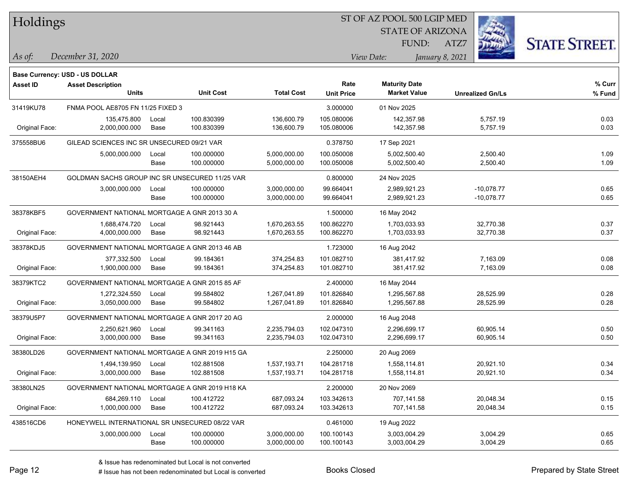|  | Holdings |
|--|----------|
|--|----------|

STATE OF ARIZONA FUND:



*December 31, 2020 As of: View Date: January 8, 2021*

**Base Currency: USD - US DOLLAR**

ATZ7

| <b>Asset ID</b> | <b>Asset Description</b><br><b>Units</b>       |       | <b>Unit Cost</b> | <b>Total Cost</b> | Rate<br><b>Unit Price</b> | <b>Maturity Date</b><br><b>Market Value</b> | <b>Unrealized Gn/Ls</b> | % Curr<br>% Fund |
|-----------------|------------------------------------------------|-------|------------------|-------------------|---------------------------|---------------------------------------------|-------------------------|------------------|
| 31419KU78       | FNMA POOL AE8705 FN 11/25 FIXED 3              |       |                  |                   | 3.000000                  | 01 Nov 2025                                 |                         |                  |
|                 |                                                |       |                  |                   |                           |                                             |                         |                  |
|                 | 135,475.800                                    | Local | 100.830399       | 136,600.79        | 105.080006                | 142,357.98                                  | 5,757.19                | 0.03             |
| Original Face:  | 2,000,000.000                                  | Base  | 100.830399       | 136,600.79        | 105.080006                | 142,357.98                                  | 5,757.19                | 0.03             |
| 375558BU6       | GILEAD SCIENCES INC SR UNSECURED 09/21 VAR     |       |                  |                   | 0.378750                  | 17 Sep 2021                                 |                         |                  |
|                 | 5,000,000.000                                  | Local | 100.000000       | 5,000,000.00      | 100.050008                | 5,002,500.40                                | 2,500.40                | 1.09             |
|                 |                                                | Base  | 100.000000       | 5,000,000.00      | 100.050008                | 5,002,500.40                                | 2,500.40                | 1.09             |
| 38150AEH4       | GOLDMAN SACHS GROUP INC SR UNSECURED 11/25 VAR |       |                  |                   | 0.800000                  | 24 Nov 2025                                 |                         |                  |
|                 | 3,000,000.000                                  | Local | 100.000000       | 3,000,000.00      | 99.664041                 | 2,989,921.23                                | $-10,078.77$            | 0.65             |
|                 |                                                | Base  | 100.000000       | 3,000,000.00      | 99.664041                 | 2,989,921.23                                | $-10,078.77$            | 0.65             |
| 38378KBF5       | GOVERNMENT NATIONAL MORTGAGE A GNR 2013 30 A   |       |                  |                   | 1.500000                  | 16 May 2042                                 |                         |                  |
|                 | 1,688,474.720                                  | Local | 98.921443        | 1,670,263.55      | 100.862270                | 1,703,033.93                                | 32,770.38               | 0.37             |
| Original Face:  | 4,000,000.000                                  | Base  | 98.921443        | 1,670,263.55      | 100.862270                | 1,703,033.93                                | 32,770.38               | 0.37             |
| 38378KDJ5       | GOVERNMENT NATIONAL MORTGAGE A GNR 2013 46 AB  |       |                  |                   | 1.723000                  | 16 Aug 2042                                 |                         |                  |
|                 | 377,332.500                                    | Local | 99.184361        | 374,254.83        | 101.082710                | 381,417.92                                  | 7,163.09                | 0.08             |
| Original Face:  | 1,900,000.000                                  | Base  | 99.184361        | 374,254.83        | 101.082710                | 381,417.92                                  | 7,163.09                | 0.08             |
| 38379KTC2       | GOVERNMENT NATIONAL MORTGAGE A GNR 2015 85 AF  |       |                  |                   | 2.400000                  | 16 May 2044                                 |                         |                  |
|                 | 1,272,324.550                                  | Local | 99.584802        | 1,267,041.89      | 101.826840                | 1,295,567.88                                | 28,525.99               | 0.28             |
| Original Face:  | 3,050,000.000                                  | Base  | 99.584802        | 1,267,041.89      | 101.826840                | 1,295,567.88                                | 28,525.99               | 0.28             |
| 38379U5P7       | GOVERNMENT NATIONAL MORTGAGE A GNR 2017 20 AG  |       |                  |                   | 2.000000                  | 16 Aug 2048                                 |                         |                  |
|                 | 2,250,621.960                                  | Local | 99.341163        | 2,235,794.03      | 102.047310                | 2,296,699.17                                | 60,905.14               | 0.50             |
| Original Face:  | 3,000,000.000                                  | Base  | 99.341163        | 2,235,794.03      | 102.047310                | 2,296,699.17                                | 60,905.14               | 0.50             |
| 38380LD26       | GOVERNMENT NATIONAL MORTGAGE A GNR 2019 H15 GA |       |                  |                   | 2.250000                  | 20 Aug 2069                                 |                         |                  |
|                 | 1,494,139.950                                  | Local | 102.881508       | 1,537,193.71      | 104.281718                | 1,558,114.81                                | 20,921.10               | 0.34             |
| Original Face:  | 3,000,000.000                                  | Base  | 102.881508       | 1,537,193.71      | 104.281718                | 1,558,114.81                                | 20,921.10               | 0.34             |
| 38380LN25       | GOVERNMENT NATIONAL MORTGAGE A GNR 2019 H18 KA |       |                  |                   | 2.200000                  | 20 Nov 2069                                 |                         |                  |
|                 | 684,269.110                                    | Local | 100.412722       | 687,093.24        | 103.342613                | 707,141.58                                  | 20,048.34               | 0.15             |
| Original Face:  | 1,000,000.000                                  | Base  | 100.412722       | 687,093.24        | 103.342613                | 707,141.58                                  | 20,048.34               | 0.15             |
| 438516CD6       | HONEYWELL INTERNATIONAL SR UNSECURED 08/22 VAR |       |                  |                   | 0.461000                  | 19 Aug 2022                                 |                         |                  |
|                 | 3,000,000.000                                  | Local | 100.000000       | 3,000,000.00      | 100.100143                | 3,003,004.29                                | 3,004.29                | 0.65             |
|                 |                                                | Base  | 100.000000       | 3,000,000.00      | 100.100143                | 3,003,004.29                                | 3,004.29                | 0.65             |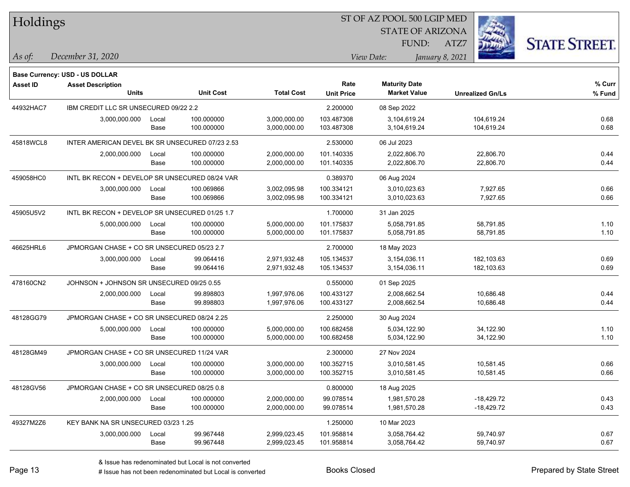| Holdings        |                                                 |       |                  |                   |                   | 51 OF AZ POOL 500 LGIP MED |                         |                      |
|-----------------|-------------------------------------------------|-------|------------------|-------------------|-------------------|----------------------------|-------------------------|----------------------|
|                 |                                                 |       |                  |                   |                   | <b>STATE OF ARIZONA</b>    |                         |                      |
|                 |                                                 |       |                  |                   |                   | FUND:                      | ATZ7                    | <b>STATE STREET.</b> |
| As of:          | December 31, 2020                               |       |                  |                   |                   | View Date:                 | January 8, 2021         |                      |
|                 | <b>Base Currency: USD - US DOLLAR</b>           |       |                  |                   |                   |                            |                         |                      |
| <b>Asset ID</b> | <b>Asset Description</b>                        |       |                  |                   | Rate              | <b>Maturity Date</b>       |                         | % Curr               |
|                 | <b>Units</b>                                    |       | <b>Unit Cost</b> | <b>Total Cost</b> | <b>Unit Price</b> | <b>Market Value</b>        | <b>Unrealized Gn/Ls</b> | % Fund               |
| 44932HAC7       | IBM CREDIT LLC SR UNSECURED 09/22 2.2           |       |                  |                   | 2.200000          | 08 Sep 2022                |                         |                      |
|                 | 3,000,000.000                                   | Local | 100.000000       | 3,000,000.00      | 103.487308        | 3,104,619.24               | 104,619.24              | 0.68                 |
|                 |                                                 | Base  | 100.000000       | 3,000,000.00      | 103.487308        | 3,104,619.24               | 104,619.24              | 0.68                 |
| 45818WCL8       | INTER AMERICAN DEVEL BK SR UNSECURED 07/23 2.53 |       |                  |                   | 2.530000          | 06 Jul 2023                |                         |                      |
|                 | 2,000,000.000                                   | Local | 100.000000       | 2,000,000.00      | 101.140335        | 2,022,806.70               | 22,806.70               | 0.44                 |
|                 |                                                 | Base  | 100.000000       | 2,000,000.00      | 101.140335        | 2,022,806.70               | 22,806.70               | 0.44                 |
| 459058HC0       | INTL BK RECON + DEVELOP SR UNSECURED 08/24 VAR  |       |                  |                   | 0.389370          | 06 Aug 2024                |                         |                      |
|                 | 3,000,000.000                                   | Local | 100.069866       | 3,002,095.98      | 100.334121        | 3,010,023.63               | 7,927.65                | 0.66                 |
|                 |                                                 | Base  | 100.069866       | 3,002,095.98      | 100.334121        | 3,010,023.63               | 7,927.65                | 0.66                 |
| 45905U5V2       | INTL BK RECON + DEVELOP SR UNSECURED 01/25 1.7  |       |                  |                   | 1.700000          | 31 Jan 2025                |                         |                      |
|                 | 5,000,000.000                                   | Local | 100.000000       | 5,000,000.00      | 101.175837        | 5,058,791.85               | 58,791.85               | 1.10                 |
|                 |                                                 | Base  | 100.000000       | 5,000,000.00      | 101.175837        | 5,058,791.85               | 58,791.85               | 1.10                 |
| 46625HRL6       | JPMORGAN CHASE + CO SR UNSECURED 05/23 2.7      |       |                  |                   | 2.700000          | 18 May 2023                |                         |                      |
|                 | 3,000,000.000                                   | Local | 99.064416        | 2,971,932.48      | 105.134537        | 3,154,036.11               | 182,103.63              | 0.69                 |
|                 |                                                 | Base  | 99.064416        | 2,971,932.48      | 105.134537        | 3,154,036.11               | 182,103.63              | 0.69                 |
| 478160CN2       | JOHNSON + JOHNSON SR UNSECURED 09/25 0.55       |       |                  |                   | 0.550000          | 01 Sep 2025                |                         |                      |
|                 | 2,000,000.000                                   | Local | 99.898803        | 1,997,976.06      | 100.433127        | 2,008,662.54               | 10,686.48               | 0.44                 |
|                 |                                                 | Base  | 99.898803        | 1,997,976.06      | 100.433127        | 2,008,662.54               | 10,686.48               | 0.44                 |
| 48128GG79       | JPMORGAN CHASE + CO SR UNSECURED 08/24 2.25     |       |                  |                   | 2.250000          | 30 Aug 2024                |                         |                      |
|                 | 5,000,000.000                                   | Local | 100.000000       | 5,000,000.00      | 100.682458        | 5,034,122.90               | 34,122.90               | 1.10                 |
|                 |                                                 | Base  | 100.000000       | 5,000,000.00      | 100.682458        | 5,034,122.90               | 34,122.90               | 1.10                 |
| 48128GM49       | JPMORGAN CHASE + CO SR UNSECURED 11/24 VAR      |       |                  |                   | 2.300000          | 27 Nov 2024                |                         |                      |
|                 | 3,000,000.000                                   | Local | 100.000000       | 3,000,000.00      | 100.352715        | 3,010,581.45               | 10,581.45               | 0.66                 |
|                 |                                                 | Base  | 100.000000       | 3,000,000.00      | 100.352715        | 3,010,581.45               | 10,581.45               | 0.66                 |
| 48128GV56       | JPMORGAN CHASE + CO SR UNSECURED 08/25 0.8      |       |                  |                   | 0.800000          | 18 Aug 2025                |                         |                      |
|                 | 2,000,000.000                                   | Local | 100.000000       | 2,000,000.00      | 99.078514         | 1,981,570.28               | $-18,429.72$            | 0.43                 |
|                 |                                                 | Base  | 100.000000       | 2,000,000.00      | 99.078514         | 1,981,570.28               | -18,429.72              | 0.43                 |
| 49327M2Z6       | KEY BANK NA SR UNSECURED 03/23 1.25             |       |                  |                   | 1.250000          | 10 Mar 2023                |                         |                      |
|                 | 3,000,000.000                                   | Local | 99.967448        | 2,999,023.45      | 101.958814        | 3,058,764.42               | 59,740.97               | 0.67                 |
|                 |                                                 | Base  | 99.967448        | 2,999,023.45      | 101.958814        | 3,058,764.42               | 59,740.97               | 0.67                 |

 $\overline{B}$   $\overline{B}$   $\overline{B}$   $\overline{B}$   $\overline{C}$   $\overline{D}$   $\overline{D}$   $\overline{D}$   $\overline{D}$   $\overline{D}$   $\overline{D}$   $\overline{D}$   $\overline{D}$   $\overline{D}$   $\overline{D}$   $\overline{D}$   $\overline{D}$   $\overline{D}$   $\overline{D}$   $\overline{D}$   $\overline{D}$   $\overline{D}$   $\overline{D}$   $\overline{D}$   $\overline{$ 

٦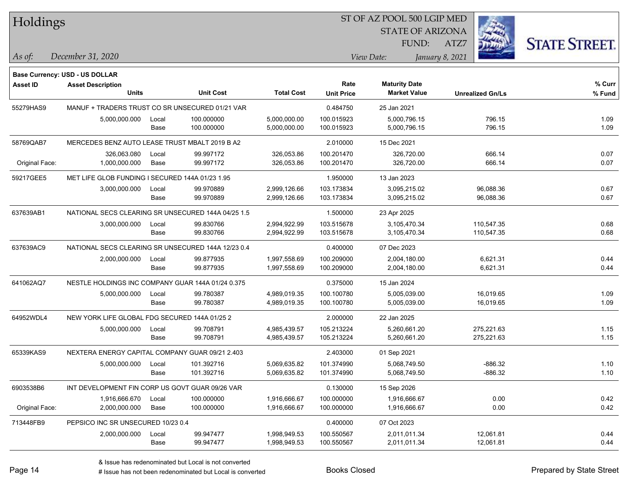| Holdings        |                                                    |       |                  |                   | ST OF AZ POOL 500 LGIP MED |                         |                 |                         |                      |
|-----------------|----------------------------------------------------|-------|------------------|-------------------|----------------------------|-------------------------|-----------------|-------------------------|----------------------|
|                 |                                                    |       |                  |                   |                            | <b>STATE OF ARIZONA</b> |                 |                         |                      |
|                 |                                                    |       |                  |                   |                            | FUND:                   | ATZ7            |                         | <b>STATE STREET.</b> |
| As of:          | December 31, 2020                                  |       |                  |                   |                            | View Date:              | January 8, 2021 |                         |                      |
|                 | Base Currency: USD - US DOLLAR                     |       |                  |                   |                            |                         |                 |                         |                      |
| <b>Asset ID</b> | <b>Asset Description</b>                           |       |                  |                   | Rate                       | <b>Maturity Date</b>    |                 |                         | $%$ Curr             |
|                 | <b>Units</b>                                       |       | <b>Unit Cost</b> | <b>Total Cost</b> | <b>Unit Price</b>          | <b>Market Value</b>     |                 | <b>Unrealized Gn/Ls</b> | % Fund               |
| 55279HAS9       | MANUF + TRADERS TRUST CO SR UNSECURED 01/21 VAR    |       |                  |                   | 0.484750                   | 25 Jan 2021             |                 |                         |                      |
|                 | 5,000,000.000                                      | Local | 100.000000       | 5,000,000.00      | 100.015923                 | 5,000,796.15            |                 | 796.15                  | 1.09                 |
|                 |                                                    | Base  | 100.000000       | 5,000,000.00      | 100.015923                 | 5,000,796.15            |                 | 796.15                  | 1.09                 |
| 58769QAB7       | MERCEDES BENZ AUTO LEASE TRUST MBALT 2019 B A2     |       |                  |                   | 2.010000                   | 15 Dec 2021             |                 |                         |                      |
|                 | 326,063.080                                        | Local | 99.997172        | 326,053.86        | 100.201470                 | 326,720.00              |                 | 666.14                  | 0.07                 |
| Original Face:  | 1,000,000.000                                      | Base  | 99.997172        | 326,053.86        | 100.201470                 | 326,720.00              |                 | 666.14                  | 0.07                 |
| 59217GEE5       | MET LIFE GLOB FUNDING I SECURED 144A 01/23 1.95    |       |                  |                   | 1.950000                   | 13 Jan 2023             |                 |                         |                      |
|                 | 3,000,000.000                                      | Local | 99.970889        | 2,999,126.66      | 103.173834                 | 3,095,215.02            |                 | 96,088.36               | 0.67                 |
|                 |                                                    | Base  | 99.970889        | 2,999,126.66      | 103.173834                 | 3,095,215.02            |                 | 96,088.36               | 0.67                 |
| 637639AB1       | NATIONAL SECS CLEARING SR UNSECURED 144A 04/25 1.5 |       |                  |                   | 1.500000                   | 23 Apr 2025             |                 |                         |                      |
|                 | 3,000,000.000                                      | Local | 99.830766        | 2,994,922.99      | 103.515678                 | 3,105,470.34            |                 | 110,547.35              | 0.68                 |
|                 |                                                    | Base  | 99.830766        | 2,994,922.99      | 103.515678                 | 3,105,470.34            |                 | 110,547.35              | 0.68                 |
| 637639AC9       | NATIONAL SECS CLEARING SR UNSECURED 144A 12/23 0.4 |       |                  |                   | 0.400000                   | 07 Dec 2023             |                 |                         |                      |
|                 | 2,000,000.000                                      | Local | 99.877935        | 1,997,558.69      | 100.209000                 | 2,004,180.00            |                 | 6,621.31                | 0.44                 |
|                 |                                                    | Base  | 99.877935        | 1,997,558.69      | 100.209000                 | 2,004,180.00            |                 | 6,621.31                | 0.44                 |
| 641062AQ7       | NESTLE HOLDINGS INC COMPANY GUAR 144A 01/24 0.375  |       |                  |                   | 0.375000                   | 15 Jan 2024             |                 |                         |                      |
|                 | 5,000,000.000                                      | Local | 99.780387        | 4,989,019.35      | 100.100780                 | 5,005,039.00            |                 | 16,019.65               | 1.09                 |
|                 |                                                    | Base  | 99.780387        | 4,989,019.35      | 100.100780                 | 5,005,039.00            |                 | 16,019.65               | 1.09                 |
| 64952WDL4       | NEW YORK LIFE GLOBAL FDG SECURED 144A 01/25 2      |       |                  |                   | 2.000000                   | 22 Jan 2025             |                 |                         |                      |
|                 | 5,000,000.000                                      | Local | 99.708791        | 4,985,439.57      | 105.213224                 | 5,260,661.20            |                 | 275,221.63              | 1.15                 |
|                 |                                                    | Base  | 99.708791        | 4,985,439.57      | 105.213224                 | 5,260,661.20            |                 | 275,221.63              | 1.15                 |
| 65339KAS9       | NEXTERA ENERGY CAPITAL COMPANY GUAR 09/21 2.403    |       |                  |                   | 2.403000                   | 01 Sep 2021             |                 |                         |                      |
|                 | 5,000,000.000                                      | Local | 101.392716       | 5,069,635.82      | 101.374990                 | 5,068,749.50            |                 | $-886.32$               | 1.10                 |
|                 |                                                    | Base  | 101.392716       | 5,069,635.82      | 101.374990                 | 5,068,749.50            |                 | $-886.32$               | 1.10                 |
| 6903538B6       | INT DEVELOPMENT FIN CORP US GOVT GUAR 09/26 VAR    |       |                  |                   | 0.130000                   | 15 Sep 2026             |                 |                         |                      |
|                 | 1,916,666.670                                      | Local | 100.000000       | 1,916,666.67      | 100.000000                 | 1,916,666.67            |                 | 0.00                    | 0.42                 |
| Original Face:  | 2,000,000.000                                      | Base  | 100.000000       | 1,916,666.67      | 100.000000                 | 1,916,666.67            |                 | 0.00                    | 0.42                 |
| 713448FB9       | PEPSICO INC SR UNSECURED 10/23 0.4                 |       |                  |                   | 0.400000                   | 07 Oct 2023             |                 |                         |                      |
|                 | 2,000,000.000                                      | Local | 99.947477        | 1,998,949.53      | 100.550567                 | 2,011,011.34            |                 | 12,061.81               | 0.44                 |
|                 |                                                    | Base  | 99.947477        | 1,998,949.53      | 100.550567                 | 2,011,011.34            |                 | 12,061.81               | 0.44                 |

denote the redenominated but Local is converted Books Closed Prepared by State Street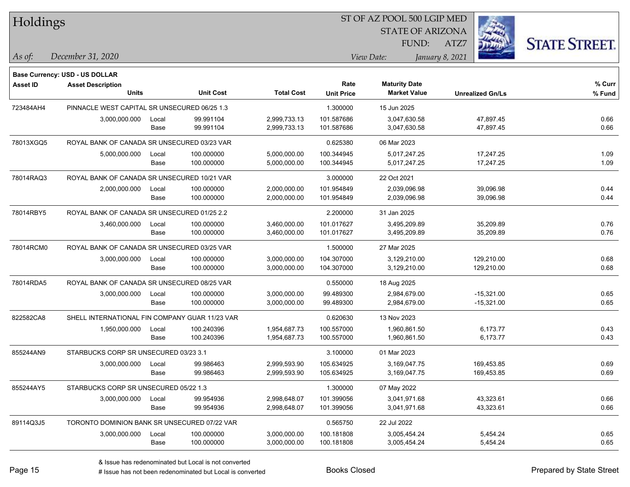| Holdings        |                                                |       |                  |                   |                   | ST OF AZ POOL 500 LGIP MED |                         |                      |
|-----------------|------------------------------------------------|-------|------------------|-------------------|-------------------|----------------------------|-------------------------|----------------------|
|                 |                                                |       |                  |                   |                   | <b>STATE OF ARIZONA</b>    |                         |                      |
|                 |                                                |       |                  |                   |                   | FUND:                      | ATZ7                    | <b>STATE STREET.</b> |
| As of:          | December 31, 2020                              |       |                  |                   |                   | View Date:                 | January 8, 2021         |                      |
|                 | <b>Base Currency: USD - US DOLLAR</b>          |       |                  |                   |                   |                            |                         |                      |
| <b>Asset ID</b> | <b>Asset Description</b>                       |       |                  |                   | Rate              | <b>Maturity Date</b>       |                         | % Curr               |
|                 | <b>Units</b>                                   |       | <b>Unit Cost</b> | <b>Total Cost</b> | <b>Unit Price</b> | <b>Market Value</b>        | <b>Unrealized Gn/Ls</b> | % Fund               |
| 723484AH4       | PINNACLE WEST CAPITAL SR UNSECURED 06/25 1.3   |       |                  |                   | 1.300000          | 15 Jun 2025                |                         |                      |
|                 | 3,000,000.000                                  | Local | 99.991104        | 2,999,733.13      | 101.587686        | 3,047,630.58               | 47,897.45               | 0.66                 |
|                 |                                                | Base  | 99.991104        | 2,999,733.13      | 101.587686        | 3,047,630.58               | 47,897.45               | 0.66                 |
| 78013XGQ5       | ROYAL BANK OF CANADA SR UNSECURED 03/23 VAR    |       |                  |                   | 0.625380          | 06 Mar 2023                |                         |                      |
|                 | 5,000,000.000                                  | Local | 100.000000       | 5,000,000.00      | 100.344945        | 5,017,247.25               | 17,247.25               | 1.09                 |
|                 |                                                | Base  | 100.000000       | 5,000,000.00      | 100.344945        | 5,017,247.25               | 17,247.25               | 1.09                 |
| 78014RAQ3       | ROYAL BANK OF CANADA SR UNSECURED 10/21 VAR    |       |                  |                   | 3.000000          | 22 Oct 2021                |                         |                      |
|                 | 2,000,000.000                                  | Local | 100.000000       | 2,000,000.00      | 101.954849        | 2,039,096.98               | 39,096.98               | 0.44                 |
|                 |                                                | Base  | 100.000000       | 2,000,000.00      | 101.954849        | 2,039,096.98               | 39,096.98               | 0.44                 |
| 78014RBY5       | ROYAL BANK OF CANADA SR UNSECURED 01/25 2.2    |       |                  |                   | 2.200000          | 31 Jan 2025                |                         |                      |
|                 | 3,460,000.000                                  | Local | 100.000000       | 3,460,000.00      | 101.017627        | 3,495,209.89               | 35,209.89               | 0.76                 |
|                 |                                                | Base  | 100.000000       | 3,460,000.00      | 101.017627        | 3,495,209.89               | 35,209.89               | 0.76                 |
| 78014RCM0       | ROYAL BANK OF CANADA SR UNSECURED 03/25 VAR    |       |                  |                   | 1.500000          | 27 Mar 2025                |                         |                      |
|                 | 3,000,000.000                                  | Local | 100.000000       | 3,000,000.00      | 104.307000        | 3,129,210.00               | 129,210.00              | 0.68                 |
|                 |                                                | Base  | 100.000000       | 3,000,000.00      | 104.307000        | 3,129,210.00               | 129,210.00              | 0.68                 |
| 78014RDA5       | ROYAL BANK OF CANADA SR UNSECURED 08/25 VAR    |       |                  |                   | 0.550000          | 18 Aug 2025                |                         |                      |
|                 | 3,000,000.000                                  | Local | 100.000000       | 3,000,000.00      | 99.489300         | 2,984,679.00               | $-15,321.00$            | 0.65                 |
|                 |                                                | Base  | 100.000000       | 3,000,000.00      | 99.489300         | 2,984,679.00               | $-15,321.00$            | 0.65                 |
| 822582CA8       | SHELL INTERNATIONAL FIN COMPANY GUAR 11/23 VAR |       |                  |                   | 0.620630          | 13 Nov 2023                |                         |                      |
|                 | 1,950,000.000                                  | Local | 100.240396       | 1,954,687.73      | 100.557000        | 1,960,861.50               | 6,173.77                | 0.43                 |
|                 |                                                | Base  | 100.240396       | 1,954,687.73      | 100.557000        | 1,960,861.50               | 6,173.77                | 0.43                 |
| 855244AN9       | STARBUCKS CORP SR UNSECURED 03/23 3.1          |       |                  |                   | 3.100000          | 01 Mar 2023                |                         |                      |
|                 | 3,000,000.000                                  | Local | 99.986463        | 2,999,593.90      | 105.634925        | 3,169,047.75               | 169,453.85              | 0.69                 |
|                 |                                                | Base  | 99.986463        | 2,999,593.90      | 105.634925        | 3,169,047.75               | 169,453.85              | 0.69                 |
| 855244AY5       | STARBUCKS CORP SR UNSECURED 05/22 1.3          |       |                  |                   | 1.300000          | 07 May 2022                |                         |                      |
|                 | 3,000,000.000                                  | Local | 99.954936        | 2,998,648.07      | 101.399056        | 3,041,971.68               | 43,323.61               | 0.66                 |
|                 |                                                | Base  | 99.954936        | 2,998,648.07      | 101.399056        | 3,041,971.68               | 43,323.61               | 0.66                 |
| 89114Q3J5       | TORONTO DOMINION BANK SR UNSECURED 07/22 VAR   |       |                  |                   | 0.565750          | 22 Jul 2022                |                         |                      |
|                 | 3,000,000.000                                  | Local | 100.000000       | 3,000,000.00      | 100.181808        | 3,005,454.24               | 5,454.24                | 0.65                 |
|                 |                                                | Base  | 100.000000       | 3,000,000.00      | 100.181808        | 3,005,454.24               | 5,454.24                | 0.65                 |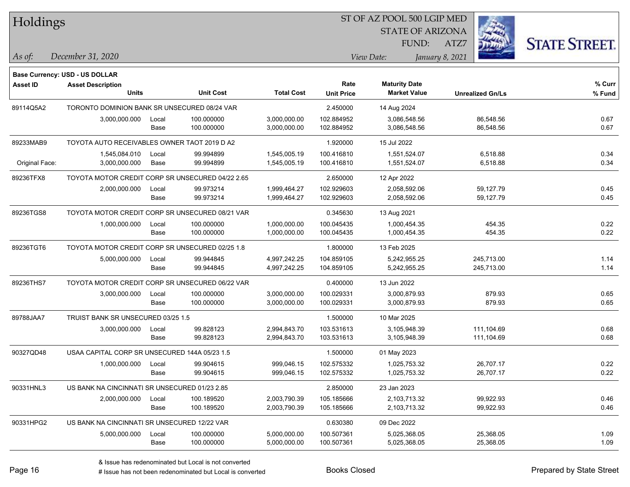| Holdings        |                                                  |       |                  |                   | 51 OF AZ POOL 500 LGIP MED |                                             |                         |                      |  |  |
|-----------------|--------------------------------------------------|-------|------------------|-------------------|----------------------------|---------------------------------------------|-------------------------|----------------------|--|--|
|                 |                                                  |       |                  |                   |                            | <b>STATE OF ARIZONA</b>                     |                         |                      |  |  |
|                 |                                                  |       |                  |                   |                            | FUND:                                       | ATZ7                    | <b>STATE STREET.</b> |  |  |
| As of:          | December 31, 2020                                |       |                  |                   |                            | View Date:                                  | January 8, 2021         |                      |  |  |
|                 |                                                  |       |                  |                   |                            |                                             |                         |                      |  |  |
|                 | <b>Base Currency: USD - US DOLLAR</b>            |       |                  |                   |                            |                                             |                         |                      |  |  |
| <b>Asset ID</b> | <b>Asset Description</b><br><b>Units</b>         |       | <b>Unit Cost</b> | <b>Total Cost</b> | Rate                       | <b>Maturity Date</b><br><b>Market Value</b> |                         | % Curr               |  |  |
|                 |                                                  |       |                  |                   | <b>Unit Price</b>          |                                             | <b>Unrealized Gn/Ls</b> | % Fund               |  |  |
| 89114Q5A2       | TORONTO DOMINION BANK SR UNSECURED 08/24 VAR     |       |                  |                   | 2.450000                   | 14 Aug 2024                                 |                         |                      |  |  |
|                 | 3,000,000.000                                    | Local | 100.000000       | 3,000,000.00      | 102.884952                 | 3,086,548.56                                | 86,548.56               | 0.67                 |  |  |
|                 |                                                  | Base  | 100.000000       | 3,000,000.00      | 102.884952                 | 3,086,548.56                                | 86,548.56               | 0.67                 |  |  |
| 89233MAB9       | TOYOTA AUTO RECEIVABLES OWNER TAOT 2019 D A2     |       |                  |                   | 1.920000                   | 15 Jul 2022                                 |                         |                      |  |  |
|                 | 1,545,084.010                                    | Local | 99.994899        | 1,545,005.19      | 100.416810                 | 1,551,524.07                                | 6,518.88                | 0.34                 |  |  |
| Original Face:  | 3,000,000.000                                    | Base  | 99.994899        | 1,545,005.19      | 100.416810                 | 1,551,524.07                                | 6,518.88                | 0.34                 |  |  |
| 89236TFX8       | TOYOTA MOTOR CREDIT CORP SR UNSECURED 04/22 2.65 |       |                  |                   | 2.650000                   | 12 Apr 2022                                 |                         |                      |  |  |
|                 | 2,000,000.000                                    | Local | 99.973214        | 1,999,464.27      | 102.929603                 | 2,058,592.06                                | 59,127.79               | 0.45                 |  |  |
|                 |                                                  | Base  | 99.973214        | 1,999,464.27      | 102.929603                 | 2,058,592.06                                | 59,127.79               | 0.45                 |  |  |
| 89236TGS8       | TOYOTA MOTOR CREDIT CORP SR UNSECURED 08/21 VAR  |       |                  |                   | 0.345630                   | 13 Aug 2021                                 |                         |                      |  |  |
|                 | 1,000,000.000                                    | Local | 100.000000       | 1,000,000.00      | 100.045435                 | 1,000,454.35                                | 454.35                  | 0.22                 |  |  |
|                 |                                                  | Base  | 100.000000       | 1,000,000.00      | 100.045435                 | 1,000,454.35                                | 454.35                  | 0.22                 |  |  |
| 89236TGT6       | TOYOTA MOTOR CREDIT CORP SR UNSECURED 02/25 1.8  |       |                  |                   | 1.800000                   | 13 Feb 2025                                 |                         |                      |  |  |
|                 | 5,000,000.000                                    | Local | 99.944845        | 4,997,242.25      | 104.859105                 | 5,242,955.25                                | 245,713.00              | 1.14                 |  |  |
|                 |                                                  | Base  | 99.944845        | 4,997,242.25      | 104.859105                 | 5,242,955.25                                | 245,713.00              | 1.14                 |  |  |
| 89236THS7       | TOYOTA MOTOR CREDIT CORP SR UNSECURED 06/22 VAR  |       |                  |                   | 0.400000                   | 13 Jun 2022                                 |                         |                      |  |  |
|                 | 3,000,000.000                                    | Local | 100.000000       | 3,000,000.00      | 100.029331                 | 3,000,879.93                                | 879.93                  | 0.65                 |  |  |
|                 |                                                  | Base  | 100.000000       | 3,000,000.00      | 100.029331                 | 3,000,879.93                                | 879.93                  | 0.65                 |  |  |
| 89788JAA7       | TRUIST BANK SR UNSECURED 03/25 1.5               |       |                  |                   | 1.500000                   | 10 Mar 2025                                 |                         |                      |  |  |
|                 | 3,000,000.000                                    | Local | 99.828123        | 2,994,843.70      | 103.531613                 | 3,105,948.39                                | 111,104.69              | 0.68                 |  |  |
|                 |                                                  | Base  | 99.828123        | 2,994,843.70      | 103.531613                 | 3,105,948.39                                | 111,104.69              | 0.68                 |  |  |
| 90327QD48       | USAA CAPITAL CORP SR UNSECURED 144A 05/23 1.5    |       |                  |                   | 1.500000                   | 01 May 2023                                 |                         |                      |  |  |
|                 | 1,000,000.000                                    | Local | 99.904615        | 999,046.15        | 102.575332                 | 1,025,753.32                                | 26,707.17               | 0.22                 |  |  |
|                 |                                                  | Base  | 99.904615        | 999,046.15        | 102.575332                 | 1,025,753.32                                | 26,707.17               | 0.22                 |  |  |
| 90331HNL3       | US BANK NA CINCINNATI SR UNSECURED 01/23 2.85    |       |                  |                   | 2.850000                   | 23 Jan 2023                                 |                         |                      |  |  |
|                 | 2,000,000.000                                    | Local | 100.189520       | 2,003,790.39      | 105.185666                 | 2,103,713.32                                | 99,922.93               | 0.46                 |  |  |
|                 |                                                  | Base  | 100.189520       | 2,003,790.39      | 105.185666                 | 2,103,713.32                                | 99,922.93               | 0.46                 |  |  |
| 90331HPG2       | US BANK NA CINCINNATI SR UNSECURED 12/22 VAR     |       |                  |                   | 0.630380                   | 09 Dec 2022                                 |                         |                      |  |  |
|                 | 5,000,000.000                                    | Local | 100.000000       | 5,000,000.00      | 100.507361                 | 5,025,368.05                                | 25,368.05               | 1.09                 |  |  |
|                 |                                                  | Base  | 100.000000       | 5,000,000.00      | 100.507361                 | 5,025,368.05                                | 25,368.05               | 1.09                 |  |  |

 $\overline{\text{SP } \overline{\text{SP } \text{O}}$ 

٦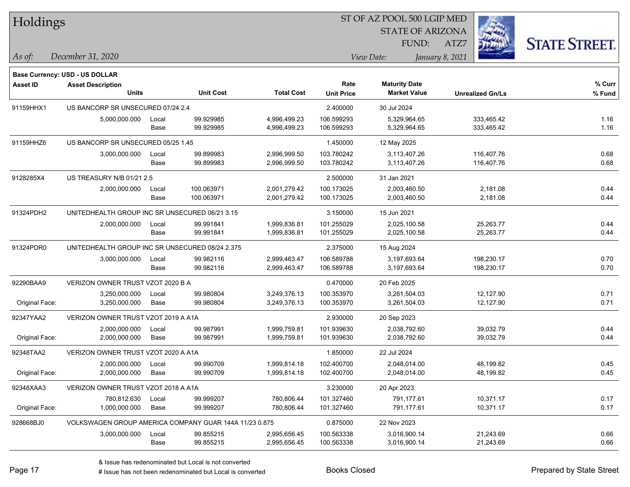| Holdings        |                                                 |                                     |                                                        |                   |                           | ST OF AZ POOL 500 LGIP MED                  |                         |                      |
|-----------------|-------------------------------------------------|-------------------------------------|--------------------------------------------------------|-------------------|---------------------------|---------------------------------------------|-------------------------|----------------------|
|                 |                                                 |                                     |                                                        |                   |                           | <b>STATE OF ARIZONA</b>                     |                         |                      |
|                 |                                                 |                                     |                                                        |                   |                           | FUND:                                       | ATZ7                    | <b>STATE STREET.</b> |
| As of:          | December 31, 2020                               |                                     |                                                        |                   |                           | View Date:                                  | January 8, 2021         |                      |
|                 | <b>Base Currency: USD - US DOLLAR</b>           |                                     |                                                        |                   |                           |                                             |                         |                      |
| <b>Asset ID</b> | <b>Asset Description</b><br><b>Units</b>        |                                     | <b>Unit Cost</b>                                       | <b>Total Cost</b> | Rate<br><b>Unit Price</b> | <b>Maturity Date</b><br><b>Market Value</b> | <b>Unrealized Gn/Ls</b> | % Curr<br>% Fund     |
| 91159HHX1       | US BANCORP SR UNSECURED 07/24 2.4               |                                     |                                                        |                   | 2.400000                  | 30 Jul 2024                                 |                         |                      |
|                 | 5,000,000.000                                   | Local                               | 99.929985                                              | 4,996,499.23      | 106.599293                | 5,329,964.65                                | 333,465.42              | 1.16                 |
|                 |                                                 | Base                                | 99.929985                                              | 4,996,499.23      | 106.599293                | 5,329,964.65                                | 333,465.42              | 1.16                 |
| 91159HHZ6       | US BANCORP SR UNSECURED 05/25 1.45              |                                     |                                                        |                   | 1.450000                  | 12 May 2025                                 |                         |                      |
|                 | 3,000,000.000                                   | Local                               | 99.899983                                              | 2,996,999.50      | 103.780242                | 3,113,407.26                                | 116,407.76              | 0.68                 |
|                 |                                                 | Base                                | 99.899983                                              | 2,996,999.50      | 103.780242                | 3,113,407.26                                | 116,407.76              | 0.68                 |
| 9128285X4       | US TREASURY N/B 01/21 2.5                       |                                     |                                                        |                   | 2.500000                  | 31 Jan 2021                                 |                         |                      |
|                 | 2,000,000.000                                   | Local                               | 100.063971                                             | 2,001,279.42      | 100.173025                | 2,003,460.50                                | 2,181.08                | 0.44                 |
|                 |                                                 | Base                                | 100.063971                                             | 2,001,279.42      | 100.173025                | 2,003,460.50                                | 2,181.08                | 0.44                 |
| 91324PDH2       | UNITEDHEALTH GROUP INC SR UNSECURED 06/21 3.15  |                                     |                                                        |                   | 3.150000                  | 15 Jun 2021                                 |                         |                      |
|                 | 2,000,000.000                                   | Local                               | 99.991841                                              | 1,999,836.81      | 101.255029                | 2,025,100.58                                | 25,263.77               | 0.44                 |
|                 |                                                 | Base                                | 99.991841                                              | 1,999,836.81      | 101.255029                | 2,025,100.58                                | 25,263.77               | 0.44                 |
| 91324PDR0       | UNITEDHEALTH GROUP INC SR UNSECURED 08/24 2.375 |                                     |                                                        |                   | 2.375000                  | 15 Aug 2024                                 |                         |                      |
|                 | 3,000,000.000                                   | Local                               | 99.982116                                              | 2,999,463.47      | 106.589788                | 3,197,693.64                                | 198,230.17              | 0.70                 |
|                 |                                                 | Base                                | 99.982116                                              | 2,999,463.47      | 106.589788                | 3,197,693.64                                | 198,230.17              | 0.70                 |
| 92290BAA9       | VERIZON OWNER TRUST VZOT 2020 B A               |                                     |                                                        |                   | 0.470000                  | 20 Feb 2025                                 |                         |                      |
|                 | 3,250,000.000                                   | Local                               | 99.980804                                              | 3,249,376.13      | 100.353970                | 3,261,504.03                                | 12,127.90               | 0.71                 |
| Original Face:  | 3,250,000.000                                   | Base                                | 99.980804                                              | 3,249,376.13      | 100.353970                | 3,261,504.03                                | 12,127.90               | 0.71                 |
| 92347YAA2       | VERIZON OWNER TRUST VZOT 2019 A A1A             |                                     |                                                        |                   | 2.930000                  | 20 Sep 2023                                 |                         |                      |
|                 | 2,000,000.000                                   | Local                               | 99.987991                                              | 1,999,759.81      | 101.939630                | 2,038,792.60                                | 39,032.79               | 0.44                 |
| Original Face:  | 2,000,000.000                                   | Base                                | 99.987991                                              | 1,999,759.81      | 101.939630                | 2,038,792.60                                | 39,032.79               | 0.44                 |
| 92348TAA2       | VERIZON OWNER TRUST VZOT 2020 A A1A             |                                     |                                                        |                   | 1.850000                  | 22 Jul 2024                                 |                         |                      |
|                 | 2,000,000.000                                   | Local                               | 99.990709                                              | 1,999,814.18      | 102.400700                | 2,048,014.00                                | 48,199.82               | 0.45                 |
| Original Face:  | 2,000,000.000                                   | Base                                | 99.990709                                              | 1,999,814.18      | 102.400700                | 2,048,014.00                                | 48,199.82               | 0.45                 |
| 92348XAA3       |                                                 | VERIZON OWNER TRUST VZOT 2018 A A1A |                                                        |                   |                           | 20 Apr 2023                                 |                         |                      |
|                 | 780,812.630                                     | Local                               | 99.999207                                              | 780,806.44        | 101.327460                | 791,177.61                                  | 10,371.17               | 0.17                 |
| Original Face:  | 1,000,000.000                                   | Base                                | 99.999207                                              | 780,806.44        | 101.327460                | 791,177.61                                  | 10,371.17               | 0.17                 |
| 928668BJ0       |                                                 |                                     | VOLKSWAGEN GROUP AMERICA COMPANY GUAR 144A 11/23 0.875 |                   | 0.875000                  | 22 Nov 2023                                 |                         |                      |
|                 | 3,000,000.000                                   | Local                               | 99.855215                                              | 2,995,656.45      | 100.563338                | 3,016,900.14                                | 21,243.69               | 0.66                 |
|                 |                                                 | Base                                | 99.855215                                              | 2,995,656.45      | 100.563338                | 3,016,900.14                                | 21,243.69               | 0.66                 |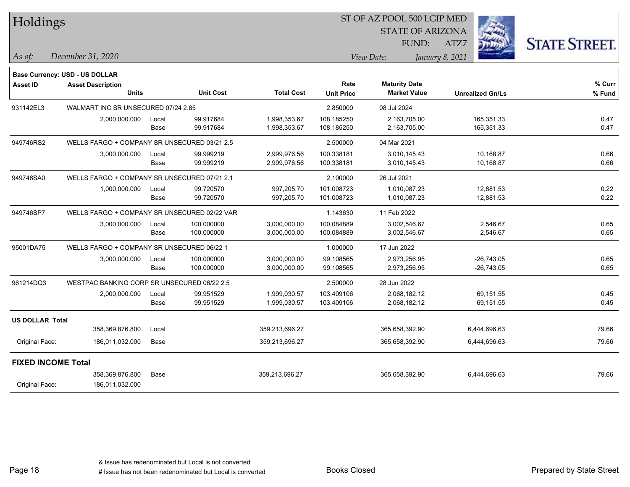| <b>Holdings</b>           |                                              |       |                  |                   | 51 OF AZ POOL 500 LGIP MED |                                             |                         |                      |  |
|---------------------------|----------------------------------------------|-------|------------------|-------------------|----------------------------|---------------------------------------------|-------------------------|----------------------|--|
|                           |                                              |       |                  |                   |                            | <b>STATE OF ARIZONA</b>                     |                         |                      |  |
|                           |                                              |       |                  |                   |                            | FUND:                                       | ATZ7                    | <b>STATE STREET.</b> |  |
| As of:                    | December 31, 2020                            |       |                  |                   |                            | View Date:                                  | January 8, 2021         |                      |  |
|                           |                                              |       |                  |                   |                            |                                             |                         |                      |  |
|                           | <b>Base Currency: USD - US DOLLAR</b>        |       |                  |                   |                            |                                             |                         |                      |  |
| <b>Asset ID</b>           | <b>Asset Description</b><br><b>Units</b>     |       | <b>Unit Cost</b> | <b>Total Cost</b> | Rate<br><b>Unit Price</b>  | <b>Maturity Date</b><br><b>Market Value</b> | <b>Unrealized Gn/Ls</b> | % Curr<br>% Fund     |  |
| 931142EL3                 | WALMART INC SR UNSECURED 07/24 2.85          |       |                  |                   | 2.850000                   | 08 Jul 2024                                 |                         |                      |  |
|                           | 2,000,000.000                                | Local | 99.917684        | 1,998,353.67      | 108.185250                 | 2,163,705.00                                | 165,351.33              | 0.47                 |  |
|                           |                                              | Base  | 99.917684        | 1,998,353.67      | 108.185250                 | 2,163,705.00                                | 165,351.33              | 0.47                 |  |
| 949746RS2                 | WELLS FARGO + COMPANY SR UNSECURED 03/21 2.5 |       |                  |                   | 2.500000                   | 04 Mar 2021                                 |                         |                      |  |
|                           | 3,000,000.000                                | Local | 99.999219        | 2,999,976.56      | 100.338181                 | 3,010,145.43                                | 10,168.87               | 0.66                 |  |
|                           |                                              | Base  | 99.999219        | 2,999,976.56      | 100.338181                 | 3,010,145.43                                | 10,168.87               | 0.66                 |  |
| 949746SA0                 | WELLS FARGO + COMPANY SR UNSECURED 07/21 2.1 |       |                  |                   | 2.100000                   | 26 Jul 2021                                 |                         |                      |  |
|                           | 1,000,000.000                                | Local | 99.720570        | 997,205.70        | 101.008723                 | 1,010,087.23                                | 12,881.53               | 0.22                 |  |
|                           |                                              | Base  | 99.720570        | 997,205.70        | 101.008723                 | 1,010,087.23                                | 12,881.53               | 0.22                 |  |
| 949746SP7                 | WELLS FARGO + COMPANY SR UNSECURED 02/22 VAR |       |                  |                   | 1.143630                   | 11 Feb 2022                                 |                         |                      |  |
|                           | 3,000,000.000                                | Local | 100.000000       | 3,000,000.00      | 100.084889                 | 3,002,546.67                                | 2,546.67                | 0.65                 |  |
|                           |                                              | Base  | 100.000000       | 3,000,000.00      | 100.084889                 | 3,002,546.67                                | 2,546.67                | 0.65                 |  |
| 95001DA75                 | WELLS FARGO + COMPANY SR UNSECURED 06/22 1   |       |                  |                   | 1.000000                   | 17 Jun 2022                                 |                         |                      |  |
|                           | 3,000,000.000                                | Local | 100.000000       | 3,000,000.00      | 99.108565                  | 2,973,256.95                                | $-26,743.05$            | 0.65                 |  |
|                           |                                              | Base  | 100.000000       | 3,000,000.00      | 99.108565                  | 2,973,256.95                                | $-26,743.05$            | 0.65                 |  |
| 961214DQ3                 | WESTPAC BANKING CORP SR UNSECURED 06/22 2.5  |       |                  |                   | 2.500000                   | 28 Jun 2022                                 |                         |                      |  |
|                           | 2,000,000.000                                | Local | 99.951529        | 1,999,030.57      | 103.409106                 | 2,068,182.12                                | 69,151.55               | 0.45                 |  |
|                           |                                              | Base  | 99.951529        | 1,999,030.57      | 103.409106                 | 2,068,182.12                                | 69,151.55               | 0.45                 |  |
| <b>US DOLLAR Total</b>    |                                              |       |                  |                   |                            |                                             |                         |                      |  |
|                           | 358,369,876.800                              | Local |                  | 359,213,696.27    |                            | 365,658,392.90                              | 6,444,696.63            | 79.66                |  |
| Original Face:            | 186,011,032.000                              | Base  |                  | 359,213,696.27    |                            | 365,658,392.90                              | 6,444,696.63            | 79.66                |  |
| <b>FIXED INCOME Total</b> |                                              |       |                  |                   |                            |                                             |                         |                      |  |
|                           | 358,369,876.800                              | Base  |                  | 359,213,696.27    |                            | 365,658,392.90                              | 6,444,696.63            | 79.66                |  |
| Original Face:            | 186,011,032.000                              |       |                  |                   |                            |                                             |                         |                      |  |

 $\overline{SP + \overline{SPQQ}}$  ,  $\overline{SPQ}$  ,  $\overline{SPQ}$  ,  $\overline{SPQ}$ 

Page 18

٦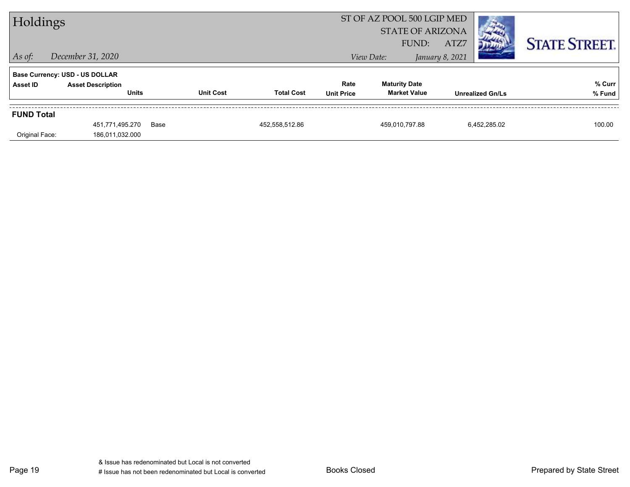| Holdings          |                                          |      | ST OF AZ POOL 500 LGIP MED<br><b>STATE OF ARIZONA</b><br>ATZ7<br>FUND: |                   |                           |                                             |                 |                         | <b>STATE STREET.</b> |
|-------------------|------------------------------------------|------|------------------------------------------------------------------------|-------------------|---------------------------|---------------------------------------------|-----------------|-------------------------|----------------------|
| $ $ As of:        | December 31, 2020                        |      |                                                                        |                   |                           | View Date:                                  | January 8, 2021 |                         |                      |
|                   | <b>Base Currency: USD - US DOLLAR</b>    |      |                                                                        |                   |                           |                                             |                 |                         |                      |
| Asset ID          | <b>Asset Description</b><br><b>Units</b> |      | <b>Unit Cost</b>                                                       | <b>Total Cost</b> | Rate<br><b>Unit Price</b> | <b>Maturity Date</b><br><b>Market Value</b> |                 | <b>Unrealized Gn/Ls</b> | % Curr<br>% Fund     |
| <b>FUND Total</b> |                                          |      |                                                                        |                   |                           |                                             |                 |                         |                      |
| Original Face:    | 451,771,495.270<br>186,011,032.000       | Base |                                                                        | 452,558,512.86    |                           | 459.010.797.88                              |                 | 6.452.285.02            | 100.00               |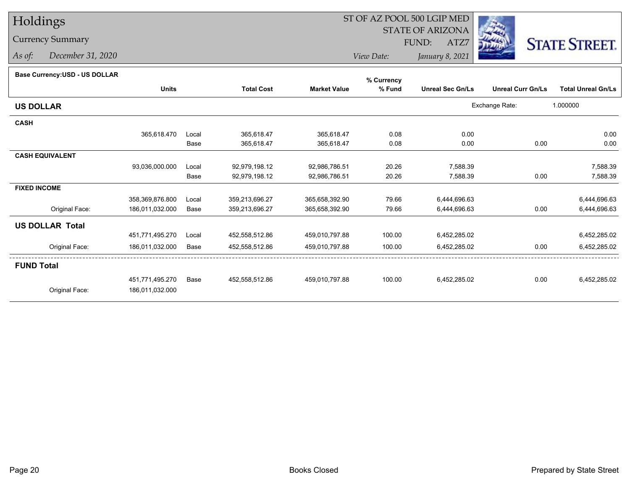# Holdings

# Currency Summary

*As of: December 31, 2020*

# ST OF AZ POOL 500 LGIP MED

 STATE OF ARIZONAFUND:

ATZ7



*View Date:January 8, 2021*

| Base Currency: USD - US DOLLAR |  |
|--------------------------------|--|

| base currency.cop - oo bollenn |                 |       |                   |                     | % Currency |                         |                          |                           |
|--------------------------------|-----------------|-------|-------------------|---------------------|------------|-------------------------|--------------------------|---------------------------|
|                                | <b>Units</b>    |       | <b>Total Cost</b> | <b>Market Value</b> | % Fund     | <b>Unreal Sec Gn/Ls</b> | <b>Unreal Curr Gn/Ls</b> | <b>Total Unreal Gn/Ls</b> |
| <b>US DOLLAR</b>               |                 |       |                   |                     |            |                         | Exchange Rate:           | 1.000000                  |
| <b>CASH</b>                    |                 |       |                   |                     |            |                         |                          |                           |
|                                | 365,618.470     | Local | 365,618.47        | 365,618.47          | 0.08       | 0.00                    |                          | 0.00                      |
|                                |                 | Base  | 365,618.47        | 365,618.47          | 0.08       | 0.00                    | 0.00                     | 0.00                      |
| <b>CASH EQUIVALENT</b>         |                 |       |                   |                     |            |                         |                          |                           |
|                                | 93,036,000.000  | Local | 92,979,198.12     | 92,986,786.51       | 20.26      | 7,588.39                |                          | 7,588.39                  |
|                                |                 | Base  | 92,979,198.12     | 92,986,786.51       | 20.26      | 7,588.39                | 0.00                     | 7,588.39                  |
| <b>FIXED INCOME</b>            |                 |       |                   |                     |            |                         |                          |                           |
|                                | 358,369,876.800 | Local | 359,213,696.27    | 365,658,392.90      | 79.66      | 6,444,696.63            |                          | 6,444,696.63              |
| Original Face:                 | 186,011,032.000 | Base  | 359,213,696.27    | 365,658,392.90      | 79.66      | 6,444,696.63            | 0.00                     | 6,444,696.63              |
| <b>US DOLLAR Total</b>         |                 |       |                   |                     |            |                         |                          |                           |
|                                | 451,771,495.270 | Local | 452,558,512.86    | 459,010,797.88      | 100.00     | 6,452,285.02            |                          | 6,452,285.02              |
| Original Face:                 | 186,011,032.000 | Base  | 452,558,512.86    | 459,010,797.88      | 100.00     | 6,452,285.02            | 0.00                     | 6,452,285.02              |
| <b>FUND Total</b>              |                 |       |                   |                     |            |                         |                          |                           |
|                                | 451,771,495.270 | Base  | 452,558,512.86    | 459.010.797.88      | 100.00     | 6,452,285.02            | 0.00                     | 6,452,285.02              |
| Original Face:                 | 186,011,032.000 |       |                   |                     |            |                         |                          |                           |
|                                |                 |       |                   |                     |            |                         |                          |                           |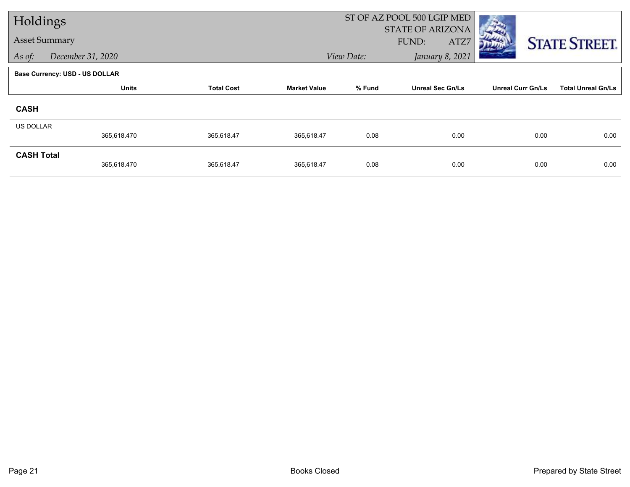| Holdings                    |                                       |                   |                     |                               | ST OF AZ POOL 500 LGIP MED               |                          |                           |  |  |
|-----------------------------|---------------------------------------|-------------------|---------------------|-------------------------------|------------------------------------------|--------------------------|---------------------------|--|--|
| <b>Asset Summary</b>        |                                       |                   |                     |                               | <b>STATE OF ARIZONA</b><br>FUND:<br>ATZ7 |                          |                           |  |  |
| As of:<br>December 31, 2020 |                                       |                   |                     | January 8, 2021<br>View Date: |                                          |                          | <b>STATE STREET.</b>      |  |  |
|                             | <b>Base Currency: USD - US DOLLAR</b> |                   |                     |                               |                                          |                          |                           |  |  |
|                             | <b>Units</b>                          | <b>Total Cost</b> | <b>Market Value</b> | % Fund                        | <b>Unreal Sec Gn/Ls</b>                  | <b>Unreal Curr Gn/Ls</b> | <b>Total Unreal Gn/Ls</b> |  |  |
| <b>CASH</b>                 |                                       |                   |                     |                               |                                          |                          |                           |  |  |
| <b>US DOLLAR</b>            |                                       |                   |                     |                               |                                          |                          |                           |  |  |
|                             | 365,618.470                           | 365,618.47        | 365,618.47          | 0.08                          | 0.00                                     | 0.00                     | 0.00                      |  |  |
| <b>CASH Total</b>           | 365,618.470                           | 365,618.47        | 365,618.47          | 0.08                          | 0.00                                     | 0.00                     | 0.00                      |  |  |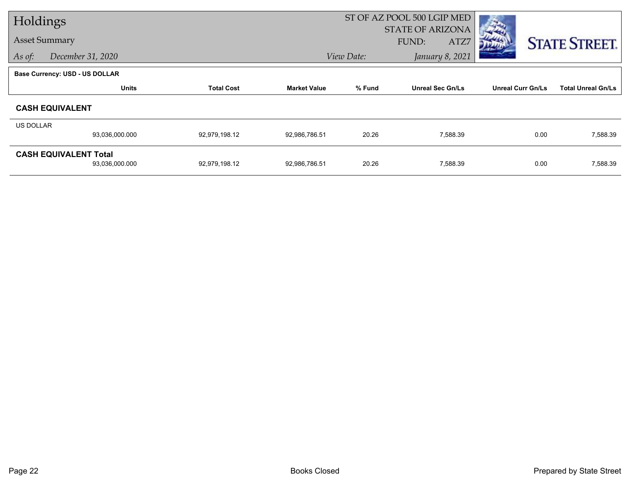| Holdings         |                                       |                   |                     |                               | ST OF AZ POOL 500 LGIP MED |                          |                           |
|------------------|---------------------------------------|-------------------|---------------------|-------------------------------|----------------------------|--------------------------|---------------------------|
|                  |                                       |                   |                     |                               | <b>STATE OF ARIZONA</b>    |                          |                           |
|                  | <b>Asset Summary</b>                  |                   |                     |                               | ATZ7<br>FUND:              |                          | <b>STATE STREET.</b>      |
| As of:           | December 31, 2020                     |                   |                     | View Date:<br>January 8, 2021 |                            |                          |                           |
|                  | <b>Base Currency: USD - US DOLLAR</b> |                   |                     |                               |                            |                          |                           |
|                  | <b>Units</b>                          | <b>Total Cost</b> | <b>Market Value</b> | % Fund                        | <b>Unreal Sec Gn/Ls</b>    | <b>Unreal Curr Gn/Ls</b> | <b>Total Unreal Gn/Ls</b> |
|                  | <b>CASH EQUIVALENT</b>                |                   |                     |                               |                            |                          |                           |
| <b>US DOLLAR</b> |                                       |                   |                     |                               |                            |                          |                           |
|                  | 93,036,000.000                        | 92,979,198.12     | 92,986,786.51       | 20.26                         | 7,588.39                   | 0.00                     | 7,588.39                  |
|                  | <b>CASH EQUIVALENT Total</b>          |                   |                     |                               |                            |                          |                           |
|                  | 93,036,000.000                        | 92,979,198.12     | 92,986,786.51       | 20.26                         | 7,588.39                   | 0.00                     | 7,588.39                  |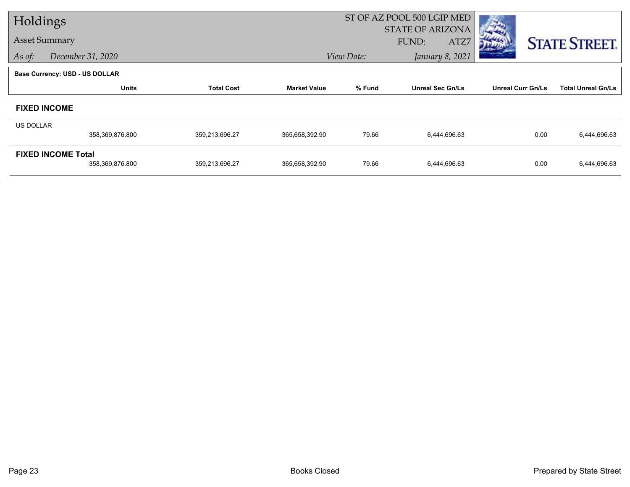| Holdings         |                                       |                   |                     |            | ST OF AZ POOL 500 LGIP MED |                          |                           |
|------------------|---------------------------------------|-------------------|---------------------|------------|----------------------------|--------------------------|---------------------------|
|                  |                                       |                   |                     |            | <b>STATE OF ARIZONA</b>    |                          |                           |
|                  | <b>Asset Summary</b>                  |                   |                     |            | FUND:<br>ATZ7              |                          | <b>STATE STREET.</b>      |
| As of:           | December 31, 2020                     |                   |                     | View Date: | January 8, 2021            |                          |                           |
|                  | <b>Base Currency: USD - US DOLLAR</b> |                   |                     |            |                            |                          |                           |
|                  | <b>Units</b>                          | <b>Total Cost</b> | <b>Market Value</b> | % Fund     | <b>Unreal Sec Gn/Ls</b>    | <b>Unreal Curr Gn/Ls</b> | <b>Total Unreal Gn/Ls</b> |
|                  | <b>FIXED INCOME</b>                   |                   |                     |            |                            |                          |                           |
| <b>US DOLLAR</b> |                                       |                   |                     |            |                            |                          |                           |
|                  | 358,369,876.800                       | 359,213,696.27    | 365,658,392.90      | 79.66      | 6,444,696.63               | 0.00                     | 6,444,696.63              |
|                  | <b>FIXED INCOME Total</b>             |                   |                     |            |                            |                          |                           |
|                  | 358,369,876.800                       | 359,213,696.27    | 365,658,392.90      | 79.66      | 6,444,696.63               | 0.00                     | 6,444,696.63              |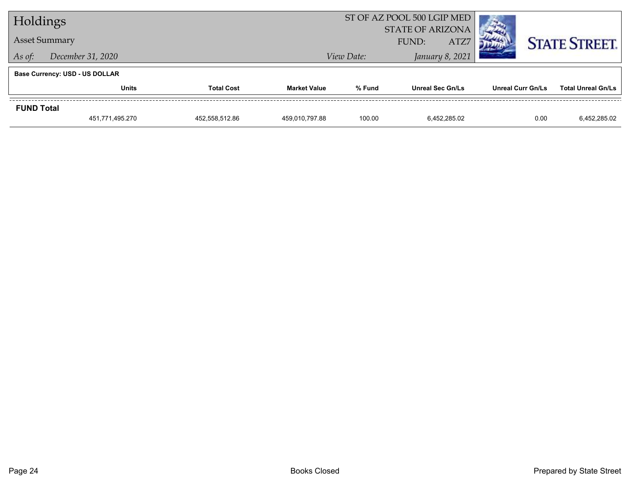| Holdings                              |                                   |  |                     | ST OF AZ POOL 500 LGIP MED               |                         |                          |                           |
|---------------------------------------|-----------------------------------|--|---------------------|------------------------------------------|-------------------------|--------------------------|---------------------------|
| <b>Asset Summary</b>                  |                                   |  |                     | <b>STATE OF ARIZONA</b><br>ATZ7<br>FUND: |                         |                          |                           |
|                                       |                                   |  | View Date:          |                                          |                         | <b>STATE STREET.</b>     |                           |
| December 31, 2020<br>As of:           |                                   |  |                     | January 8, 2021                          |                         |                          |                           |
| <b>Base Currency: USD - US DOLLAR</b> |                                   |  |                     |                                          |                         |                          |                           |
|                                       | <b>Total Cost</b><br><b>Units</b> |  | <b>Market Value</b> | % Fund                                   | <b>Unreal Sec Gn/Ls</b> | <b>Unreal Curr Gn/Ls</b> | <b>Total Unreal Gn/Ls</b> |
| <b>FUND Total</b>                     |                                   |  |                     |                                          |                         |                          |                           |
|                                       | 451,771,495.270<br>452.558.512.86 |  | 459.010.797.88      | 100.00                                   | 6.452.285.02            | 0.00                     | 6,452,285.02              |